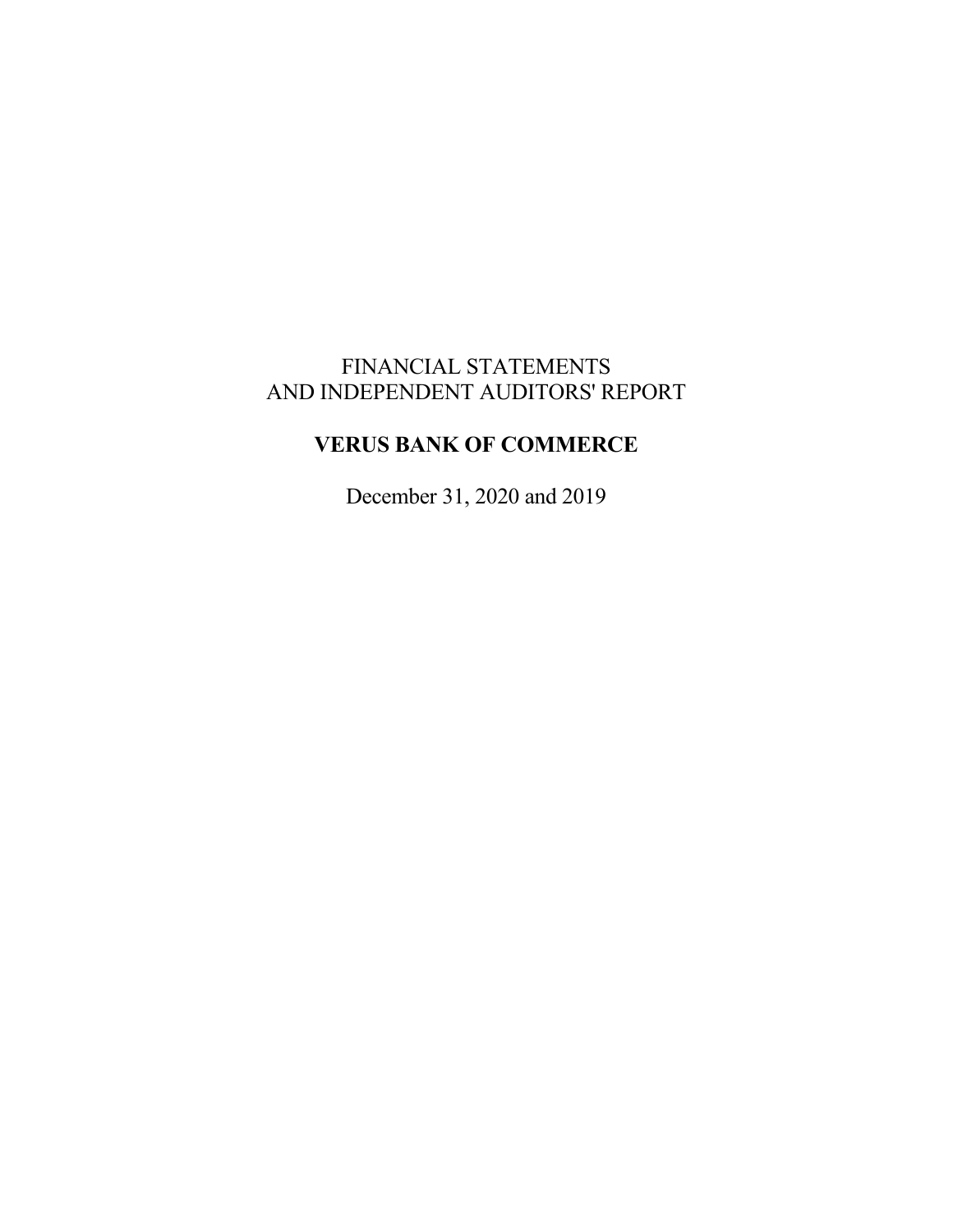# FINANCIAL STATEMENTS AND INDEPENDENT AUDITORS' REPORT

# **VERUS BANK OF COMMERCE**

December 31, 2020 and 2019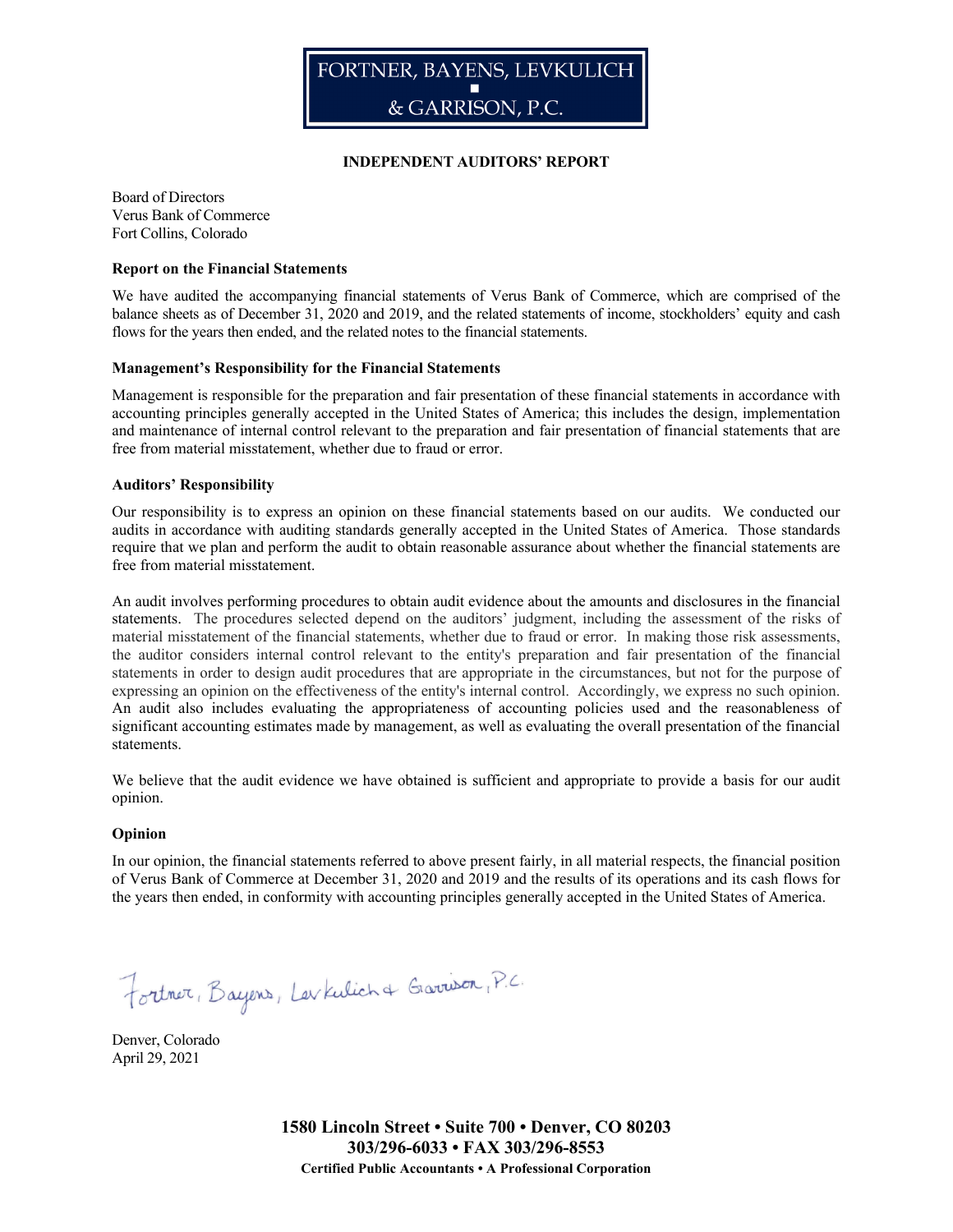

#### **INDEPENDENT AUDITORS' REPORT**

Board of Directors Verus Bank of Commerce Fort Collins, Colorado

#### **Report on the Financial Statements**

We have audited the accompanying financial statements of Verus Bank of Commerce, which are comprised of the balance sheets as of December 31, 2020 and 2019, and the related statements of income, stockholders' equity and cash flows for the years then ended, and the related notes to the financial statements.

#### **Management's Responsibility for the Financial Statements**

Management is responsible for the preparation and fair presentation of these financial statements in accordance with accounting principles generally accepted in the United States of America; this includes the design, implementation and maintenance of internal control relevant to the preparation and fair presentation of financial statements that are free from material misstatement, whether due to fraud or error.

#### **Auditors' Responsibility**

Our responsibility is to express an opinion on these financial statements based on our audits. We conducted our audits in accordance with auditing standards generally accepted in the United States of America. Those standards require that we plan and perform the audit to obtain reasonable assurance about whether the financial statements are free from material misstatement.

An audit involves performing procedures to obtain audit evidence about the amounts and disclosures in the financial statements. The procedures selected depend on the auditors' judgment, including the assessment of the risks of material misstatement of the financial statements, whether due to fraud or error. In making those risk assessments, the auditor considers internal control relevant to the entity's preparation and fair presentation of the financial statements in order to design audit procedures that are appropriate in the circumstances, but not for the purpose of expressing an opinion on the effectiveness of the entity's internal control. Accordingly, we express no such opinion. An audit also includes evaluating the appropriateness of accounting policies used and the reasonableness of significant accounting estimates made by management, as well as evaluating the overall presentation of the financial statements.

We believe that the audit evidence we have obtained is sufficient and appropriate to provide a basis for our audit opinion.

#### **Opinion**

In our opinion, the financial statements referred to above present fairly, in all material respects, the financial position of Verus Bank of Commerce at December 31, 2020 and 2019 and the results of its operations and its cash flows for the years then ended, in conformity with accounting principles generally accepted in the United States of America.

Fortner, Bayers, Levkulich & Garrison, P.C.

Denver, Colorado April 29, 2021

> **1580 Lincoln Street • Suite 700 • Denver, CO 80203 303/296-6033 • FAX 303/296-8553 Certified Public Accountants • A Professional Corporation**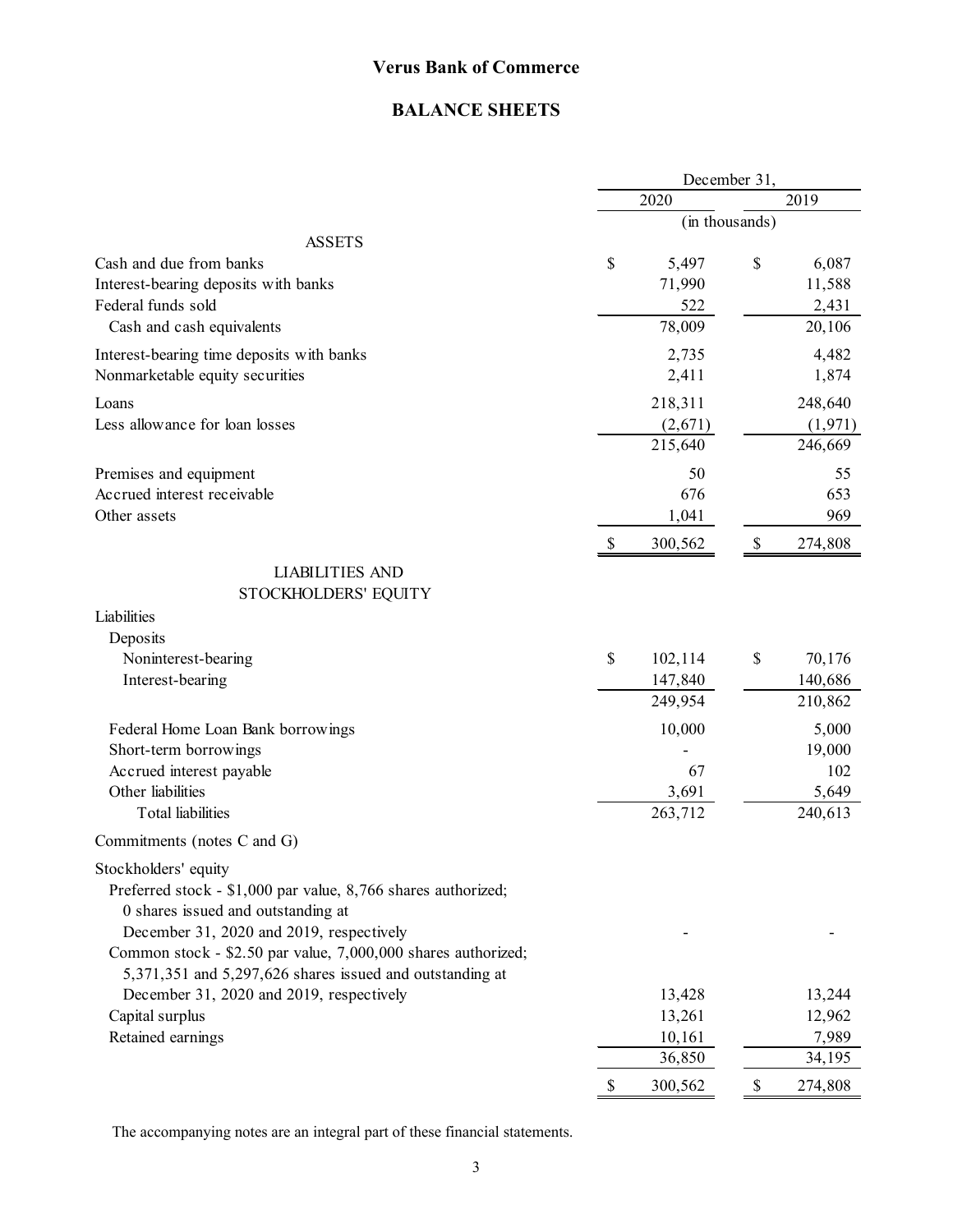### **BALANCE SHEETS**

|                                                               |               | December 31,   |          |  |  |
|---------------------------------------------------------------|---------------|----------------|----------|--|--|
|                                                               | 2020          |                | 2019     |  |  |
|                                                               |               | (in thousands) |          |  |  |
| <b>ASSETS</b>                                                 |               |                |          |  |  |
| Cash and due from banks                                       | \$<br>5,497   | \$             | 6,087    |  |  |
| Interest-bearing deposits with banks                          | 71,990        |                | 11,588   |  |  |
| Federal funds sold                                            | 522           |                | 2,431    |  |  |
| Cash and cash equivalents                                     | 78,009        |                | 20,106   |  |  |
| Interest-bearing time deposits with banks                     | 2,735         |                | 4,482    |  |  |
| Nonmarketable equity securities                               | 2,411         |                | 1,874    |  |  |
| Loans                                                         | 218,311       |                | 248,640  |  |  |
| Less allowance for loan losses                                | (2,671)       |                | (1, 971) |  |  |
|                                                               | 215,640       |                | 246,669  |  |  |
| Premises and equipment                                        | 50            |                | 55       |  |  |
| Accrued interest receivable                                   | 676           |                | 653      |  |  |
| Other assets                                                  | 1,041         |                | 969      |  |  |
|                                                               | \$<br>300,562 | \$             | 274,808  |  |  |
| <b>LIABILITIES AND</b>                                        |               |                |          |  |  |
| STOCKHOLDERS' EQUITY                                          |               |                |          |  |  |
| Liabilities                                                   |               |                |          |  |  |
| Deposits                                                      |               |                |          |  |  |
| Noninterest-bearing                                           | \$<br>102,114 | \$             | 70,176   |  |  |
| Interest-bearing                                              | 147,840       |                | 140,686  |  |  |
|                                                               | 249,954       |                | 210,862  |  |  |
| Federal Home Loan Bank borrowings                             | 10,000        |                | 5,000    |  |  |
| Short-term borrowings                                         |               |                | 19,000   |  |  |
| Accrued interest payable                                      | 67            |                | 102      |  |  |
| Other liabilities                                             | 3,691         |                | 5,649    |  |  |
| <b>Total liabilities</b>                                      | 263,712       |                | 240,613  |  |  |
| Commitments (notes C and G)                                   |               |                |          |  |  |
| Stockholders' equity                                          |               |                |          |  |  |
| Preferred stock - \$1,000 par value, 8,766 shares authorized; |               |                |          |  |  |
| 0 shares issued and outstanding at                            |               |                |          |  |  |
| December 31, 2020 and 2019, respectively                      |               |                |          |  |  |
| Common stock - \$2.50 par value, 7,000,000 shares authorized; |               |                |          |  |  |
| 5,371,351 and 5,297,626 shares issued and outstanding at      |               |                |          |  |  |
| December 31, 2020 and 2019, respectively                      | 13,428        |                | 13,244   |  |  |
| Capital surplus                                               | 13,261        |                | 12,962   |  |  |
| Retained earnings                                             | 10,161        |                | 7,989    |  |  |
|                                                               | 36,850        |                | 34,195   |  |  |
|                                                               | \$<br>300,562 | \$             | 274,808  |  |  |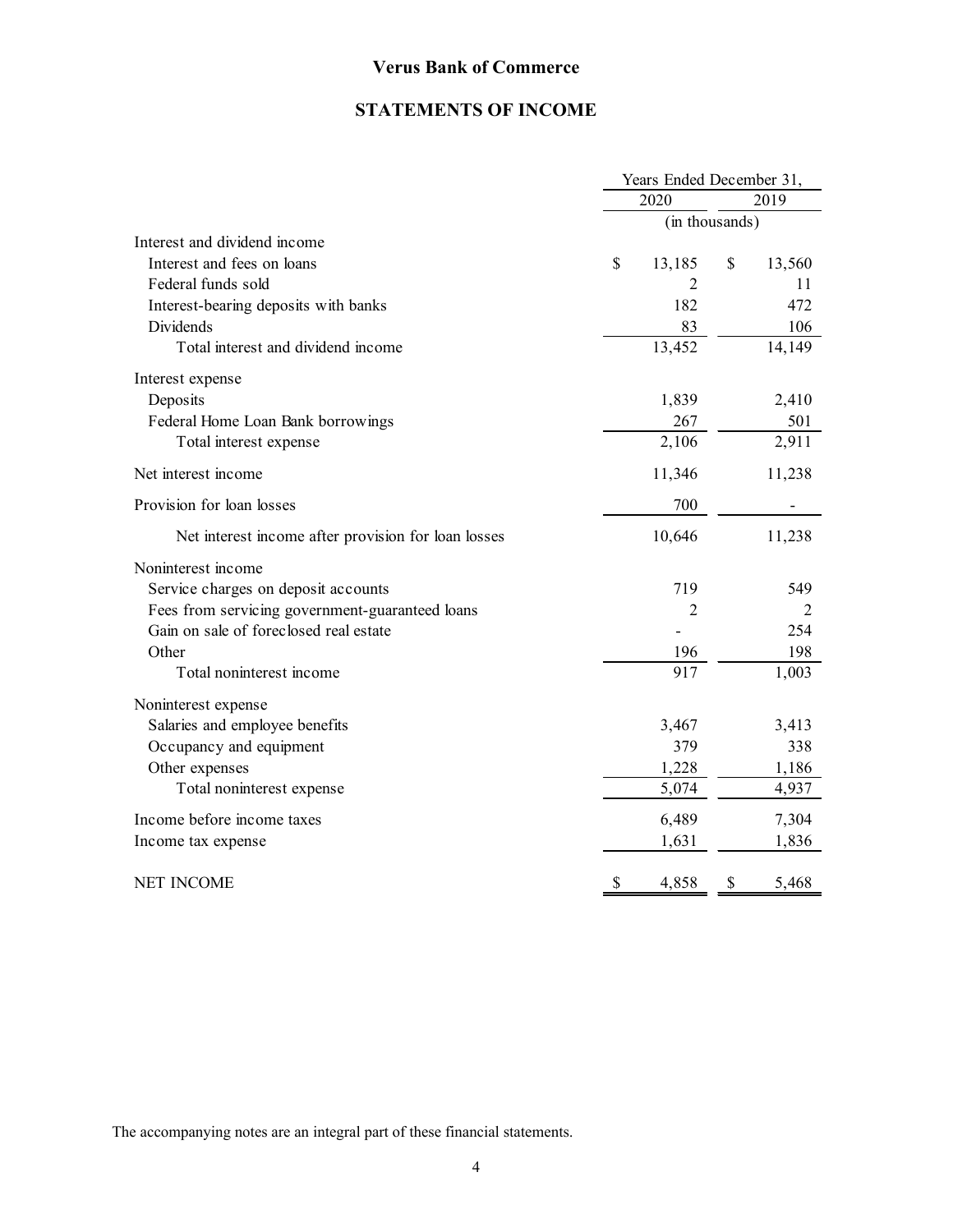## **STATEMENTS OF INCOME**

|                                                     | Years Ended December 31, |        |                |        |  |  |  |
|-----------------------------------------------------|--------------------------|--------|----------------|--------|--|--|--|
|                                                     | 2020<br>2019             |        |                |        |  |  |  |
|                                                     |                          |        | (in thousands) |        |  |  |  |
| Interest and dividend income                        |                          |        |                |        |  |  |  |
| Interest and fees on loans                          | \$                       | 13,185 | \$             | 13,560 |  |  |  |
| Federal funds sold                                  |                          | 2      |                | 11     |  |  |  |
| Interest-bearing deposits with banks                |                          | 182    |                | 472    |  |  |  |
| Dividends                                           |                          | 83     |                | 106    |  |  |  |
| Total interest and dividend income                  |                          | 13,452 |                | 14,149 |  |  |  |
| Interest expense                                    |                          |        |                |        |  |  |  |
| Deposits                                            |                          | 1,839  |                | 2,410  |  |  |  |
| Federal Home Loan Bank borrowings                   |                          | 267    |                | 501    |  |  |  |
| Total interest expense                              |                          | 2,106  |                | 2,911  |  |  |  |
| Net interest income                                 |                          | 11,346 |                | 11,238 |  |  |  |
| Provision for loan losses                           |                          | 700    |                |        |  |  |  |
| Net interest income after provision for loan losses |                          | 10,646 |                | 11,238 |  |  |  |
| Noninterest income                                  |                          |        |                |        |  |  |  |
| Service charges on deposit accounts                 |                          | 719    |                | 549    |  |  |  |
| Fees from servicing government-guaranteed loans     |                          | 2      |                | 2      |  |  |  |
| Gain on sale of foreclosed real estate              |                          |        |                | 254    |  |  |  |
| Other                                               |                          | 196    |                | 198    |  |  |  |
| Total noninterest income                            |                          | 917    |                | 1,003  |  |  |  |
| Noninterest expense                                 |                          |        |                |        |  |  |  |
| Salaries and employee benefits                      |                          | 3,467  |                | 3,413  |  |  |  |
| Occupancy and equipment                             |                          | 379    |                | 338    |  |  |  |
| Other expenses                                      |                          | 1,228  |                | 1,186  |  |  |  |
| Total noninterest expense                           |                          | 5,074  |                | 4,937  |  |  |  |
| Income before income taxes                          |                          | 6,489  |                | 7,304  |  |  |  |
| Income tax expense                                  |                          | 1,631  |                | 1,836  |  |  |  |
| <b>NET INCOME</b>                                   | \$                       | 4,858  | \$             | 5,468  |  |  |  |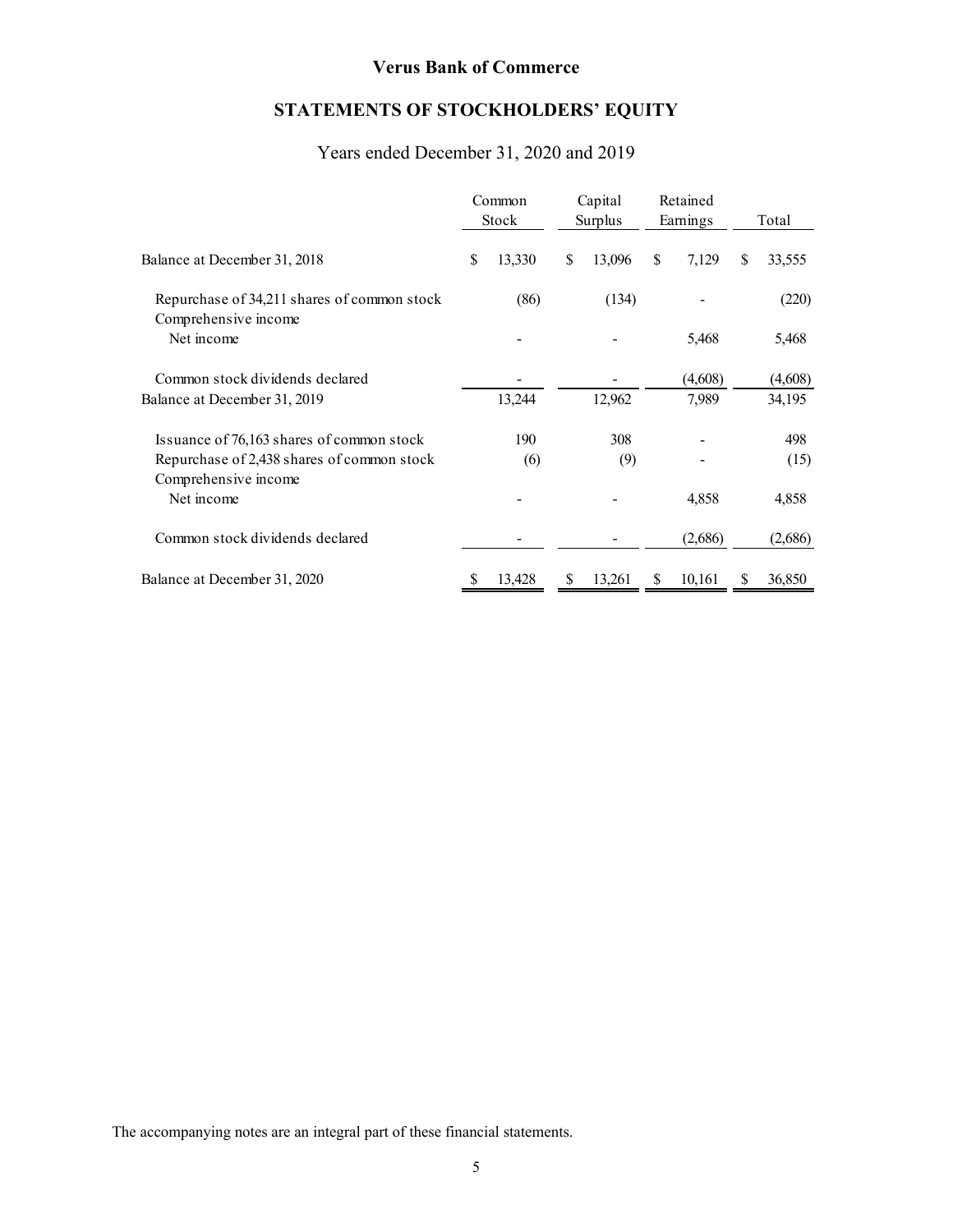## **STATEMENTS OF STOCKHOLDERS' EQUITY**

## Years ended December 31, 2020 and 2019

|                                                                     |    | Common<br>Stock |    | Capital<br>Surplus |    | Retained<br>Earnings |   | Total   |
|---------------------------------------------------------------------|----|-----------------|----|--------------------|----|----------------------|---|---------|
| Balance at December 31, 2018                                        | \$ | 13,330          | \$ | 13,096             | \$ | 7,129                | S | 33,555  |
| Repurchase of 34,211 shares of common stock<br>Comprehensive income |    | (86)            |    | (134)              |    |                      |   | (220)   |
| Net income                                                          |    |                 |    |                    |    | 5,468                |   | 5,468   |
| Common stock dividends declared                                     |    |                 |    |                    |    | (4,608)              |   | (4,608) |
| Balance at December 31, 2019                                        |    | 13,244          |    | 12,962             |    | 7,989                |   | 34,195  |
| Issuance of 76,163 shares of common stock                           |    | 190             |    | 308                |    |                      |   | 498     |
| Repurchase of 2,438 shares of common stock<br>Comprehensive income  |    | (6)             |    | (9)                |    |                      |   | (15)    |
| Net income                                                          |    |                 |    |                    |    | 4,858                |   | 4,858   |
| Common stock dividends declared                                     |    |                 |    |                    |    | (2,686)              |   | (2,686) |
| Balance at December 31, 2020                                        | S  | 13,428          | S  | 13,261             | S  | 10,161               | S | 36,850  |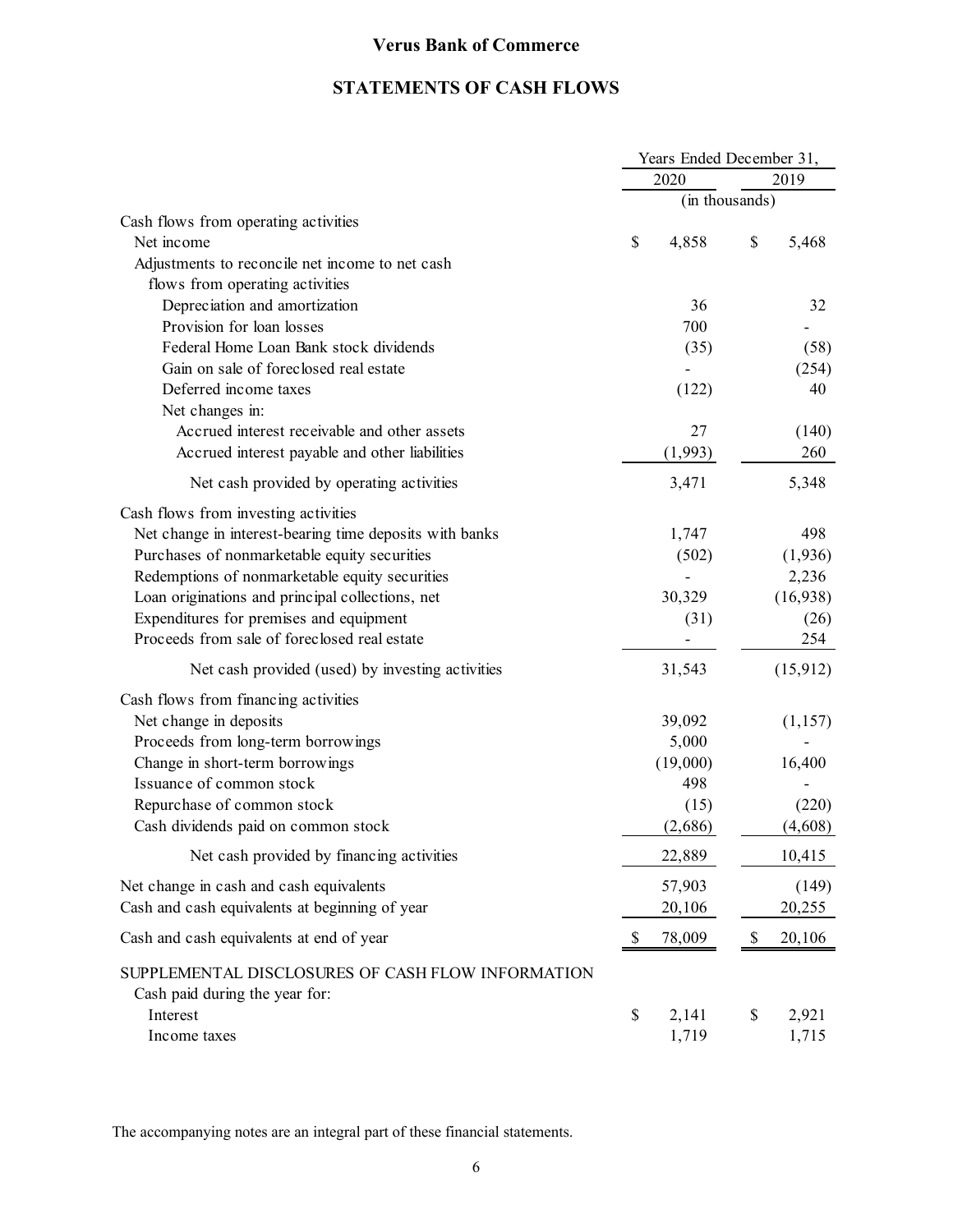## **STATEMENTS OF CASH FLOWS**

|                                                                                     |              | Years Ended December 31, |                |             |  |  |
|-------------------------------------------------------------------------------------|--------------|--------------------------|----------------|-------------|--|--|
|                                                                                     | 2020<br>2019 |                          |                |             |  |  |
|                                                                                     |              |                          | (in thousands) |             |  |  |
| Cash flows from operating activities                                                |              |                          |                |             |  |  |
| Net income                                                                          | \$           | 4,858                    | \$             | 5,468       |  |  |
| Adjustments to reconcile net income to net cash                                     |              |                          |                |             |  |  |
| flows from operating activities                                                     |              |                          |                |             |  |  |
| Depreciation and amortization<br>Provision for loan losses                          |              | 36<br>700                |                | 32          |  |  |
| Federal Home Loan Bank stock dividends                                              |              |                          |                |             |  |  |
| Gain on sale of foreclosed real estate                                              |              | (35)                     |                | (58)        |  |  |
| Deferred income taxes                                                               |              |                          |                | (254)<br>40 |  |  |
|                                                                                     |              | (122)                    |                |             |  |  |
| Net changes in:<br>Accrued interest receivable and other assets                     |              | 27                       |                | (140)       |  |  |
| Accrued interest payable and other liabilities                                      |              | (1,993)                  |                | 260         |  |  |
|                                                                                     |              |                          |                |             |  |  |
| Net cash provided by operating activities                                           |              | 3,471                    |                | 5,348       |  |  |
| Cash flows from investing activities                                                |              |                          |                |             |  |  |
| Net change in interest-bearing time deposits with banks                             |              | 1,747                    |                | 498         |  |  |
| Purchases of nonmarketable equity securities                                        |              | (502)                    |                | (1,936)     |  |  |
| Redemptions of nonmarketable equity securities                                      |              |                          |                | 2,236       |  |  |
| Loan originations and principal collections, net                                    |              | 30,329                   |                | (16,938)    |  |  |
| Expenditures for premises and equipment                                             |              | (31)                     |                | (26)        |  |  |
| Proceeds from sale of foreclosed real estate                                        |              |                          |                | 254         |  |  |
| Net cash provided (used) by investing activities                                    |              | 31,543                   |                | (15, 912)   |  |  |
| Cash flows from financing activities                                                |              |                          |                |             |  |  |
| Net change in deposits                                                              |              | 39,092                   |                | (1,157)     |  |  |
| Proceeds from long-term borrowings                                                  |              | 5,000                    |                |             |  |  |
| Change in short-term borrowings                                                     |              | (19,000)                 |                | 16,400      |  |  |
| Issuance of common stock                                                            |              | 498                      |                |             |  |  |
| Repurchase of common stock                                                          |              | (15)                     |                | (220)       |  |  |
| Cash dividends paid on common stock                                                 |              | (2,686)                  |                | (4,608)     |  |  |
| Net cash provided by financing activities                                           |              | 22,889                   |                | 10,415      |  |  |
| Net change in cash and cash equivalents                                             |              | 57,903                   |                | (149)       |  |  |
| Cash and cash equivalents at beginning of year                                      |              | 20,106                   |                | 20,255      |  |  |
| Cash and cash equivalents at end of year                                            | \$           | 78,009                   | \$             | 20,106      |  |  |
| SUPPLEMENTAL DISCLOSURES OF CASH FLOW INFORMATION<br>Cash paid during the year for: |              |                          |                |             |  |  |
| Interest                                                                            | \$           | 2,141                    | \$             | 2,921       |  |  |
| Income taxes                                                                        |              | 1,719                    |                | 1,715       |  |  |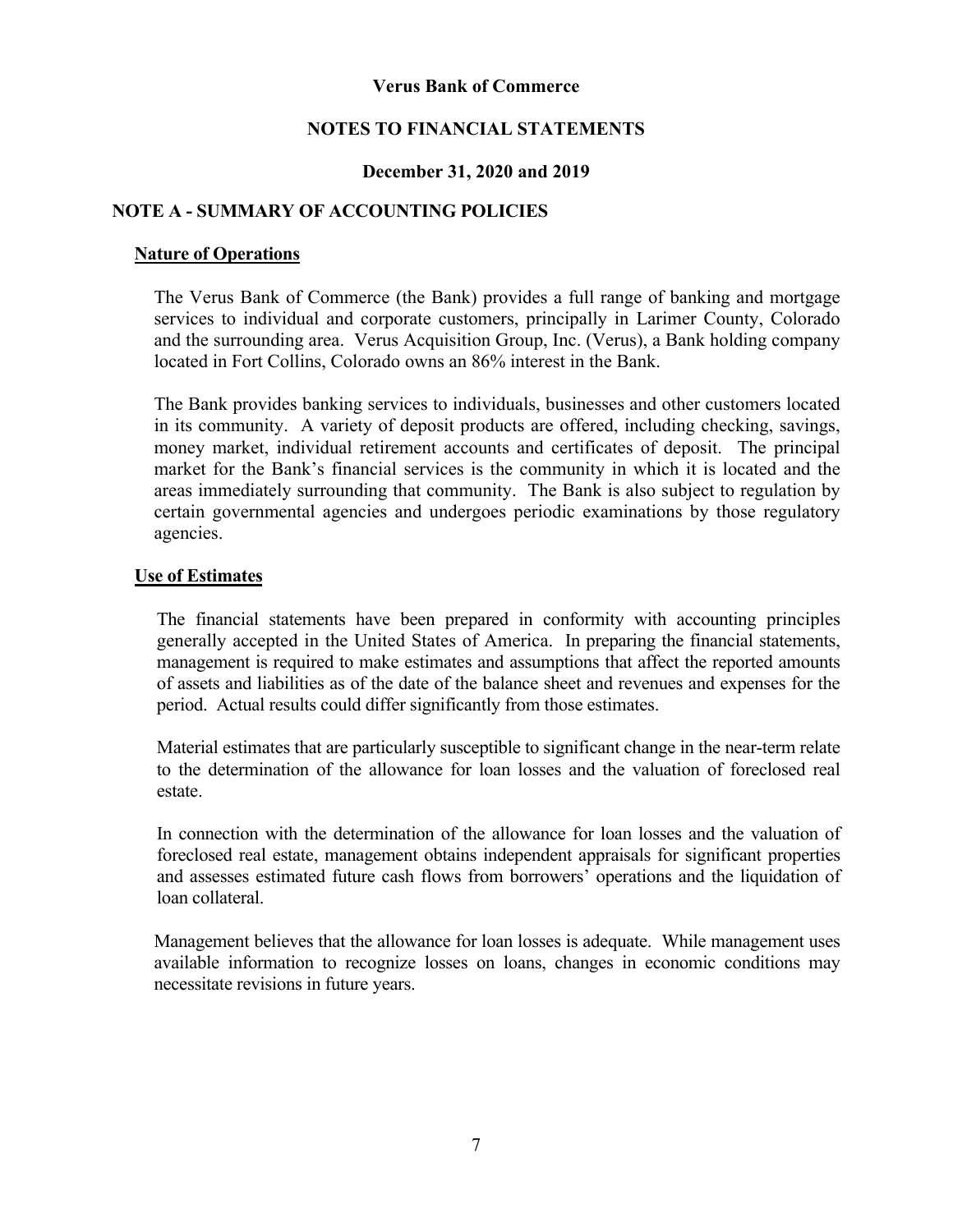### **NOTES TO FINANCIAL STATEMENTS**

### **December 31, 2020 and 2019**

### **NOTE A - SUMMARY OF ACCOUNTING POLICIES**

#### **Nature of Operations**

The Verus Bank of Commerce (the Bank) provides a full range of banking and mortgage services to individual and corporate customers, principally in Larimer County, Colorado and the surrounding area. Verus Acquisition Group, Inc. (Verus), a Bank holding company located in Fort Collins, Colorado owns an 86% interest in the Bank.

The Bank provides banking services to individuals, businesses and other customers located in its community. A variety of deposit products are offered, including checking, savings, money market, individual retirement accounts and certificates of deposit. The principal market for the Bank's financial services is the community in which it is located and the areas immediately surrounding that community. The Bank is also subject to regulation by certain governmental agencies and undergoes periodic examinations by those regulatory agencies.

#### **Use of Estimates**

 The financial statements have been prepared in conformity with accounting principles generally accepted in the United States of America. In preparing the financial statements, management is required to make estimates and assumptions that affect the reported amounts of assets and liabilities as of the date of the balance sheet and revenues and expenses for the period. Actual results could differ significantly from those estimates.

 Material estimates that are particularly susceptible to significant change in the near-term relate to the determination of the allowance for loan losses and the valuation of foreclosed real estate.

 In connection with the determination of the allowance for loan losses and the valuation of foreclosed real estate, management obtains independent appraisals for significant properties and assesses estimated future cash flows from borrowers' operations and the liquidation of loan collateral.

Management believes that the allowance for loan losses is adequate. While management uses available information to recognize losses on loans, changes in economic conditions may necessitate revisions in future years.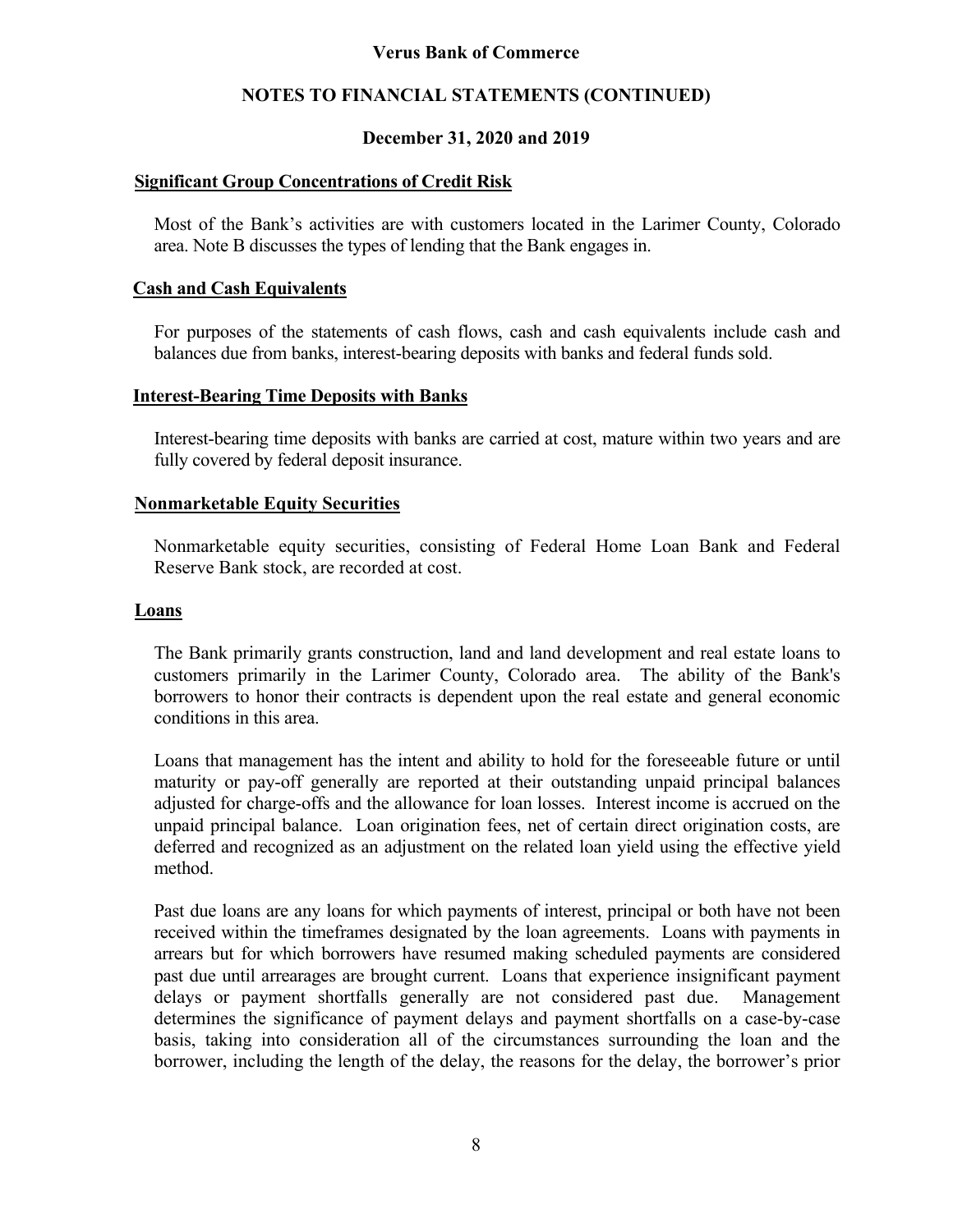### **NOTES TO FINANCIAL STATEMENTS (CONTINUED)**

### **December 31, 2020 and 2019**

### **Significant Group Concentrations of Credit Risk**

Most of the Bank's activities are with customers located in the Larimer County, Colorado area. Note B discusses the types of lending that the Bank engages in.

### **Cash and Cash Equivalents**

For purposes of the statements of cash flows, cash and cash equivalents include cash and balances due from banks, interest-bearing deposits with banks and federal funds sold.

### **Interest-Bearing Time Deposits with Banks**

Interest-bearing time deposits with banks are carried at cost, mature within two years and are fully covered by federal deposit insurance.

### **Nonmarketable Equity Securities**

Nonmarketable equity securities, consisting of Federal Home Loan Bank and Federal Reserve Bank stock, are recorded at cost.

### **Loans**

The Bank primarily grants construction, land and land development and real estate loans to customers primarily in the Larimer County, Colorado area. The ability of the Bank's borrowers to honor their contracts is dependent upon the real estate and general economic conditions in this area.

Loans that management has the intent and ability to hold for the foreseeable future or until maturity or pay-off generally are reported at their outstanding unpaid principal balances adjusted for charge-offs and the allowance for loan losses. Interest income is accrued on the unpaid principal balance. Loan origination fees, net of certain direct origination costs, are deferred and recognized as an adjustment on the related loan yield using the effective yield method.

Past due loans are any loans for which payments of interest, principal or both have not been received within the timeframes designated by the loan agreements. Loans with payments in arrears but for which borrowers have resumed making scheduled payments are considered past due until arrearages are brought current. Loans that experience insignificant payment delays or payment shortfalls generally are not considered past due. Management determines the significance of payment delays and payment shortfalls on a case-by-case basis, taking into consideration all of the circumstances surrounding the loan and the borrower, including the length of the delay, the reasons for the delay, the borrower's prior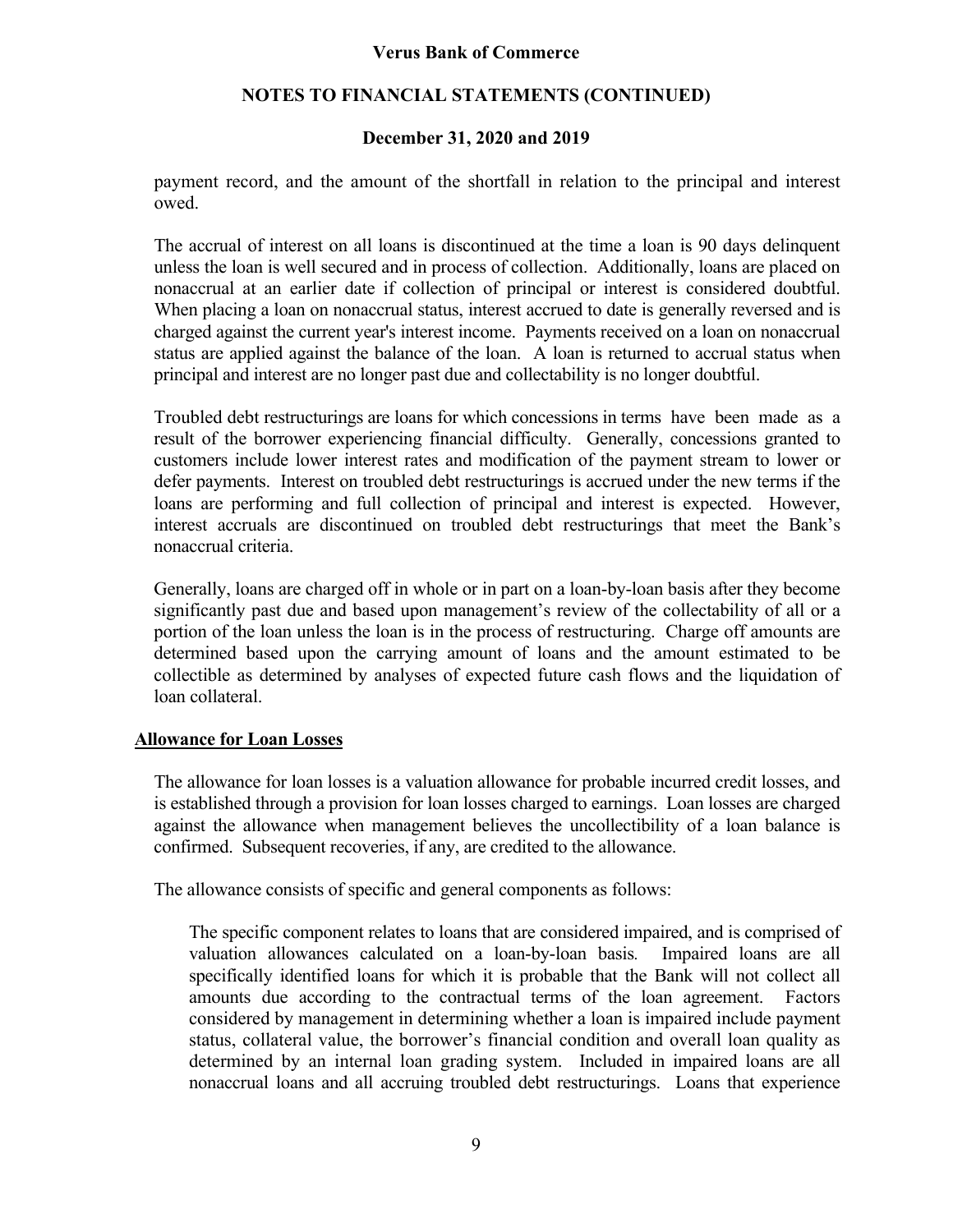### **NOTES TO FINANCIAL STATEMENTS (CONTINUED)**

### **December 31, 2020 and 2019**

payment record, and the amount of the shortfall in relation to the principal and interest owed.

The accrual of interest on all loans is discontinued at the time a loan is 90 days delinquent unless the loan is well secured and in process of collection. Additionally, loans are placed on nonaccrual at an earlier date if collection of principal or interest is considered doubtful. When placing a loan on nonaccrual status, interest accrued to date is generally reversed and is charged against the current year's interest income. Payments received on a loan on nonaccrual status are applied against the balance of the loan. A loan is returned to accrual status when principal and interest are no longer past due and collectability is no longer doubtful.

Troubled debt restructurings are loans for which concessions in terms have been made as a result of the borrower experiencing financial difficulty. Generally, concessions granted to customers include lower interest rates and modification of the payment stream to lower or defer payments. Interest on troubled debt restructurings is accrued under the new terms if the loans are performing and full collection of principal and interest is expected. However, interest accruals are discontinued on troubled debt restructurings that meet the Bank's nonaccrual criteria.

Generally, loans are charged off in whole or in part on a loan-by-loan basis after they become significantly past due and based upon management's review of the collectability of all or a portion of the loan unless the loan is in the process of restructuring. Charge off amounts are determined based upon the carrying amount of loans and the amount estimated to be collectible as determined by analyses of expected future cash flows and the liquidation of loan collateral.

### **Allowance for Loan Losses**

The allowance for loan losses is a valuation allowance for probable incurred credit losses, and is established through a provision for loan losses charged to earnings. Loan losses are charged against the allowance when management believes the uncollectibility of a loan balance is confirmed. Subsequent recoveries, if any, are credited to the allowance.

The allowance consists of specific and general components as follows:

The specific component relates to loans that are considered impaired, and is comprised of valuation allowances calculated on a loan-by-loan basis*.* Impaired loans are all specifically identified loans for which it is probable that the Bank will not collect all amounts due according to the contractual terms of the loan agreement. Factors considered by management in determining whether a loan is impaired include payment status, collateral value, the borrower's financial condition and overall loan quality as determined by an internal loan grading system. Included in impaired loans are all nonaccrual loans and all accruing troubled debt restructurings. Loans that experience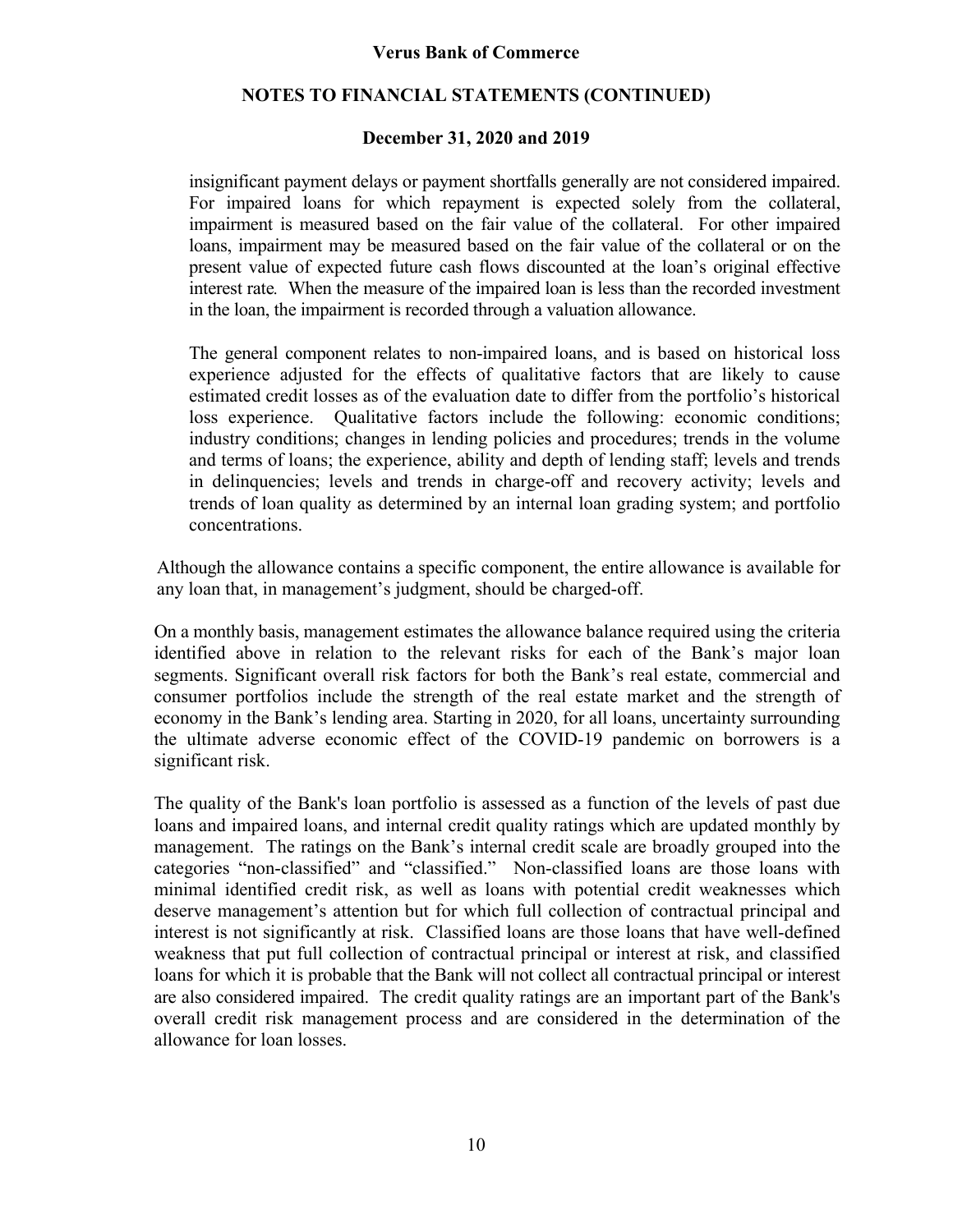### **NOTES TO FINANCIAL STATEMENTS (CONTINUED)**

### **December 31, 2020 and 2019**

insignificant payment delays or payment shortfalls generally are not considered impaired. For impaired loans for which repayment is expected solely from the collateral, impairment is measured based on the fair value of the collateral. For other impaired loans, impairment may be measured based on the fair value of the collateral or on the present value of expected future cash flows discounted at the loan's original effective interest rate*.* When the measure of the impaired loan is less than the recorded investment in the loan, the impairment is recorded through a valuation allowance.

The general component relates to non-impaired loans, and is based on historical loss experience adjusted for the effects of qualitative factors that are likely to cause estimated credit losses as of the evaluation date to differ from the portfolio's historical loss experience. Qualitative factors include the following: economic conditions; industry conditions; changes in lending policies and procedures; trends in the volume and terms of loans; the experience, ability and depth of lending staff; levels and trends in delinquencies; levels and trends in charge-off and recovery activity; levels and trends of loan quality as determined by an internal loan grading system; and portfolio concentrations.

Although the allowance contains a specific component, the entire allowance is available for any loan that, in management's judgment, should be charged-off.

On a monthly basis, management estimates the allowance balance required using the criteria identified above in relation to the relevant risks for each of the Bank's major loan segments. Significant overall risk factors for both the Bank's real estate, commercial and consumer portfolios include the strength of the real estate market and the strength of economy in the Bank's lending area. Starting in 2020, for all loans, uncertainty surrounding the ultimate adverse economic effect of the COVID-19 pandemic on borrowers is a significant risk.

The quality of the Bank's loan portfolio is assessed as a function of the levels of past due loans and impaired loans, and internal credit quality ratings which are updated monthly by management. The ratings on the Bank's internal credit scale are broadly grouped into the categories "non-classified" and "classified." Non-classified loans are those loans with minimal identified credit risk, as well as loans with potential credit weaknesses which deserve management's attention but for which full collection of contractual principal and interest is not significantly at risk. Classified loans are those loans that have well-defined weakness that put full collection of contractual principal or interest at risk, and classified loans for which it is probable that the Bank will not collect all contractual principal or interest are also considered impaired. The credit quality ratings are an important part of the Bank's overall credit risk management process and are considered in the determination of the allowance for loan losses.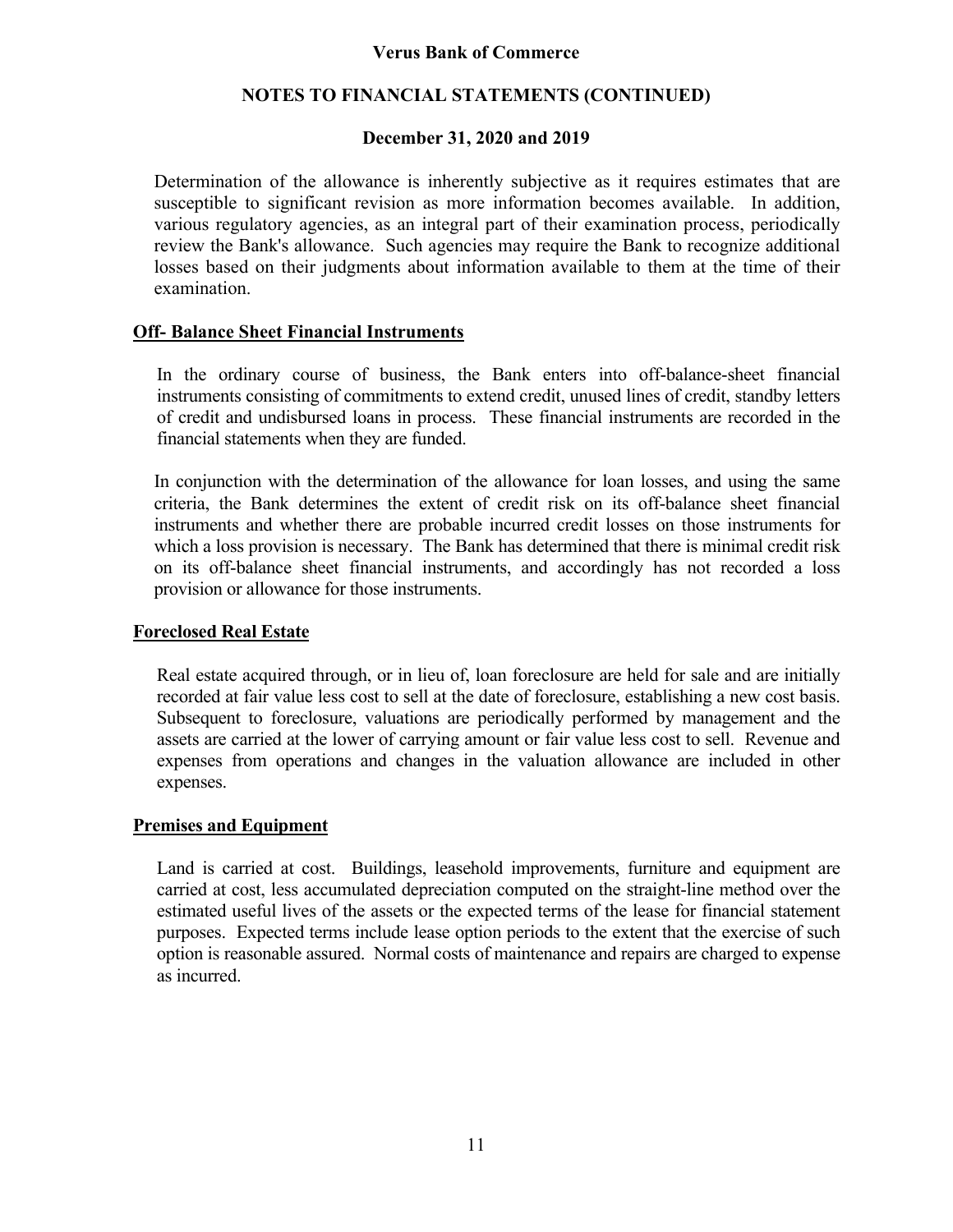### **NOTES TO FINANCIAL STATEMENTS (CONTINUED)**

### **December 31, 2020 and 2019**

Determination of the allowance is inherently subjective as it requires estimates that are susceptible to significant revision as more information becomes available. In addition, various regulatory agencies, as an integral part of their examination process, periodically review the Bank's allowance. Such agencies may require the Bank to recognize additional losses based on their judgments about information available to them at the time of their examination.

### **Off- Balance Sheet Financial Instruments**

In the ordinary course of business, the Bank enters into off-balance-sheet financial instruments consisting of commitments to extend credit, unused lines of credit, standby letters of credit and undisbursed loans in process. These financial instruments are recorded in the financial statements when they are funded.

In conjunction with the determination of the allowance for loan losses, and using the same criteria, the Bank determines the extent of credit risk on its off-balance sheet financial instruments and whether there are probable incurred credit losses on those instruments for which a loss provision is necessary. The Bank has determined that there is minimal credit risk on its off-balance sheet financial instruments, and accordingly has not recorded a loss provision or allowance for those instruments.

### **Foreclosed Real Estate**

Real estate acquired through, or in lieu of, loan foreclosure are held for sale and are initially recorded at fair value less cost to sell at the date of foreclosure, establishing a new cost basis. Subsequent to foreclosure, valuations are periodically performed by management and the assets are carried at the lower of carrying amount or fair value less cost to sell. Revenue and expenses from operations and changes in the valuation allowance are included in other expenses.

#### **Premises and Equipment**

Land is carried at cost. Buildings, leasehold improvements, furniture and equipment are carried at cost, less accumulated depreciation computed on the straight-line method over the estimated useful lives of the assets or the expected terms of the lease for financial statement purposes. Expected terms include lease option periods to the extent that the exercise of such option is reasonable assured. Normal costs of maintenance and repairs are charged to expense as incurred.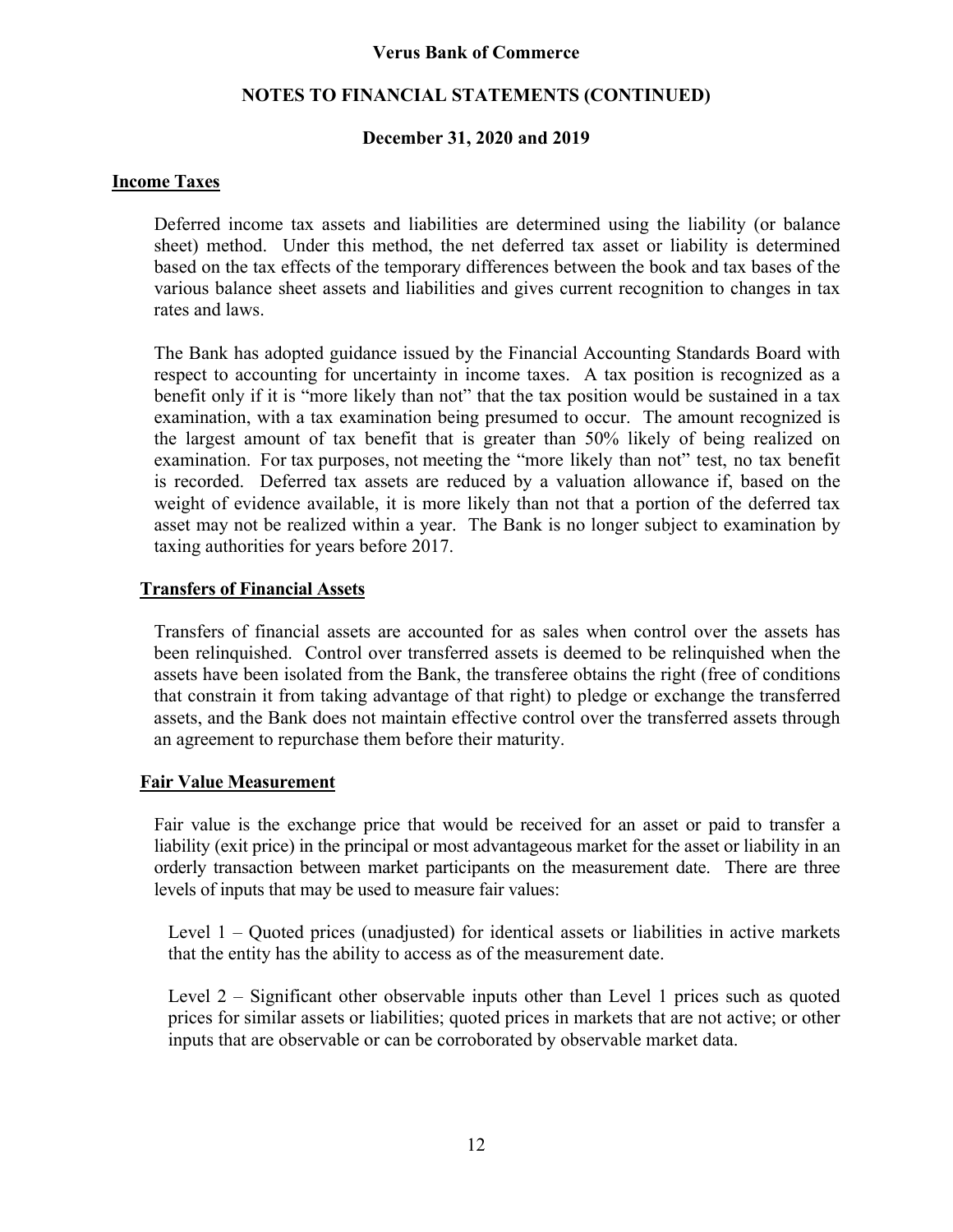### **NOTES TO FINANCIAL STATEMENTS (CONTINUED)**

### **December 31, 2020 and 2019**

### **Income Taxes**

 Deferred income tax assets and liabilities are determined using the liability (or balance sheet) method. Under this method, the net deferred tax asset or liability is determined based on the tax effects of the temporary differences between the book and tax bases of the various balance sheet assets and liabilities and gives current recognition to changes in tax rates and laws.

 The Bank has adopted guidance issued by the Financial Accounting Standards Board with respect to accounting for uncertainty in income taxes. A tax position is recognized as a benefit only if it is "more likely than not" that the tax position would be sustained in a tax examination, with a tax examination being presumed to occur. The amount recognized is the largest amount of tax benefit that is greater than 50% likely of being realized on examination. For tax purposes, not meeting the "more likely than not" test, no tax benefit is recorded. Deferred tax assets are reduced by a valuation allowance if, based on the weight of evidence available, it is more likely than not that a portion of the deferred tax asset may not be realized within a year. The Bank is no longer subject to examination by taxing authorities for years before 2017.

### **Transfers of Financial Assets**

Transfers of financial assets are accounted for as sales when control over the assets has been relinquished. Control over transferred assets is deemed to be relinquished when the assets have been isolated from the Bank, the transferee obtains the right (free of conditions that constrain it from taking advantage of that right) to pledge or exchange the transferred assets, and the Bank does not maintain effective control over the transferred assets through an agreement to repurchase them before their maturity.

### **Fair Value Measurement**

Fair value is the exchange price that would be received for an asset or paid to transfer a liability (exit price) in the principal or most advantageous market for the asset or liability in an orderly transaction between market participants on the measurement date. There are three levels of inputs that may be used to measure fair values:

Level 1 – Quoted prices (unadjusted) for identical assets or liabilities in active markets that the entity has the ability to access as of the measurement date.

Level 2 – Significant other observable inputs other than Level 1 prices such as quoted prices for similar assets or liabilities; quoted prices in markets that are not active; or other inputs that are observable or can be corroborated by observable market data.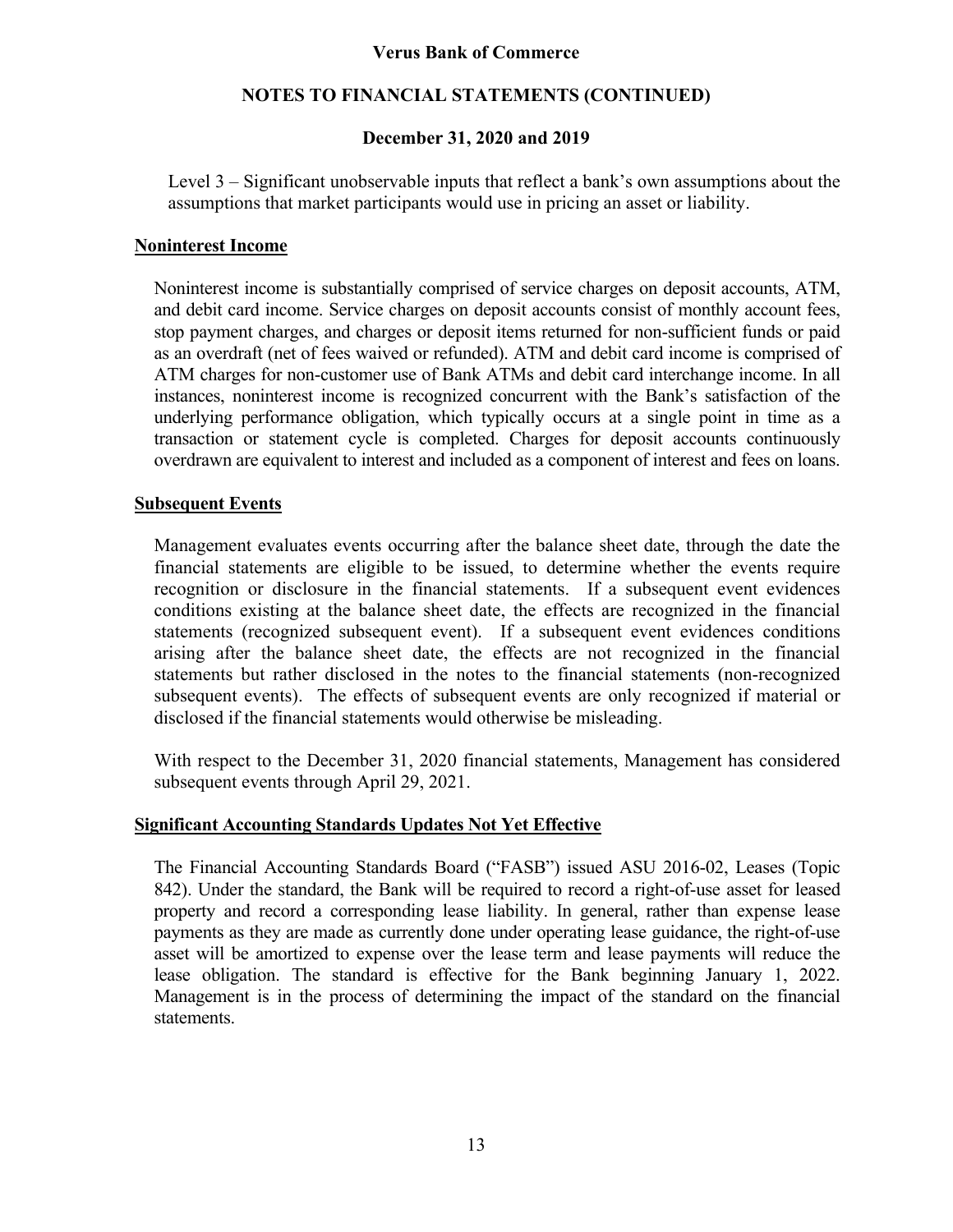### **NOTES TO FINANCIAL STATEMENTS (CONTINUED)**

### **December 31, 2020 and 2019**

Level 3 – Significant unobservable inputs that reflect a bank's own assumptions about the assumptions that market participants would use in pricing an asset or liability.

### **Noninterest Income**

Noninterest income is substantially comprised of service charges on deposit accounts, ATM, and debit card income. Service charges on deposit accounts consist of monthly account fees, stop payment charges, and charges or deposit items returned for non-sufficient funds or paid as an overdraft (net of fees waived or refunded). ATM and debit card income is comprised of ATM charges for non-customer use of Bank ATMs and debit card interchange income. In all instances, noninterest income is recognized concurrent with the Bank's satisfaction of the underlying performance obligation, which typically occurs at a single point in time as a transaction or statement cycle is completed. Charges for deposit accounts continuously overdrawn are equivalent to interest and included as a component of interest and fees on loans.

### **Subsequent Events**

Management evaluates events occurring after the balance sheet date, through the date the financial statements are eligible to be issued, to determine whether the events require recognition or disclosure in the financial statements. If a subsequent event evidences conditions existing at the balance sheet date, the effects are recognized in the financial statements (recognized subsequent event). If a subsequent event evidences conditions arising after the balance sheet date, the effects are not recognized in the financial statements but rather disclosed in the notes to the financial statements (non-recognized subsequent events). The effects of subsequent events are only recognized if material or disclosed if the financial statements would otherwise be misleading.

With respect to the December 31, 2020 financial statements, Management has considered subsequent events through April 29, 2021.

### **Significant Accounting Standards Updates Not Yet Effective**

The Financial Accounting Standards Board ("FASB") issued ASU 2016-02, Leases (Topic 842). Under the standard, the Bank will be required to record a right-of-use asset for leased property and record a corresponding lease liability. In general, rather than expense lease payments as they are made as currently done under operating lease guidance, the right-of-use asset will be amortized to expense over the lease term and lease payments will reduce the lease obligation. The standard is effective for the Bank beginning January 1, 2022. Management is in the process of determining the impact of the standard on the financial statements.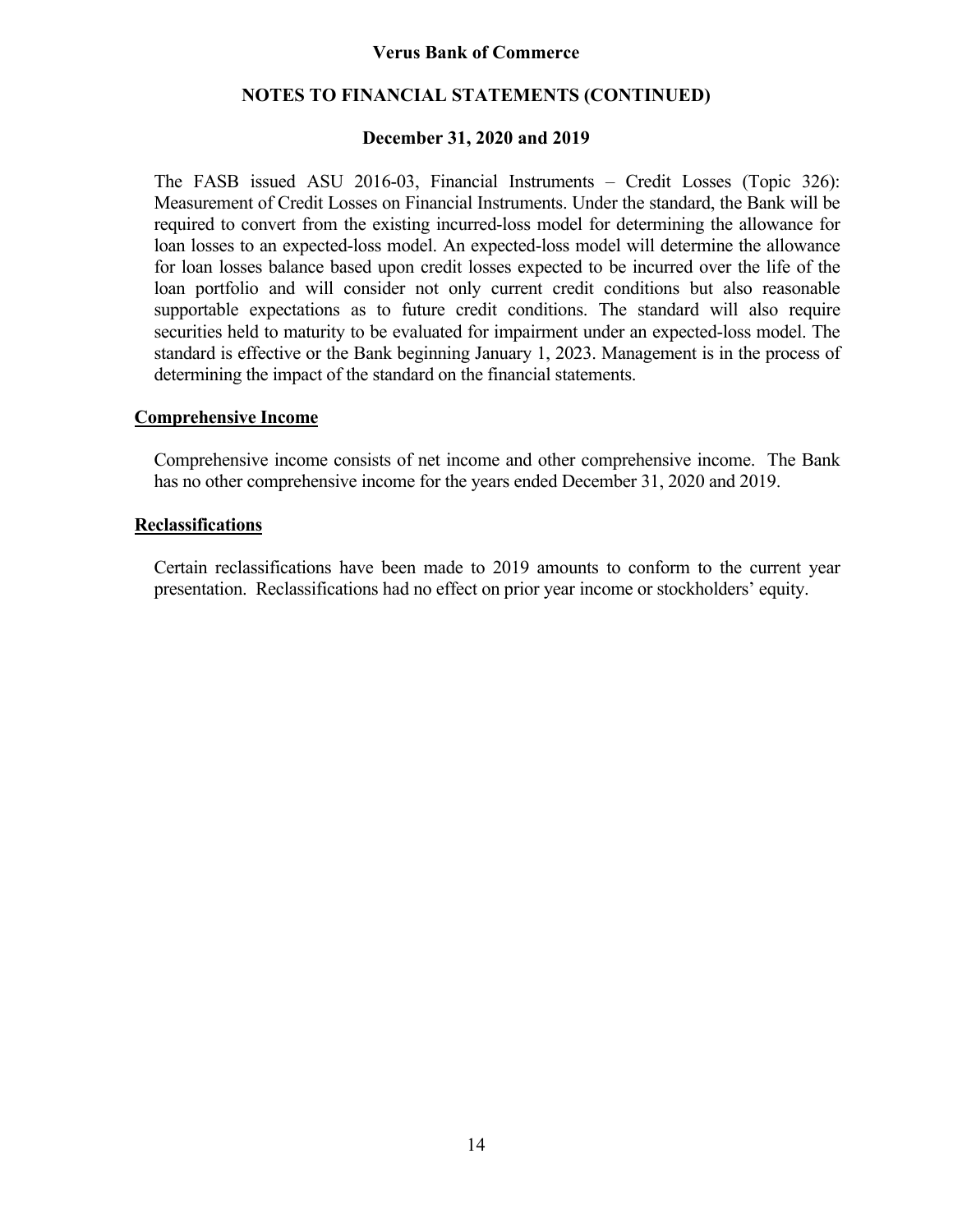### **NOTES TO FINANCIAL STATEMENTS (CONTINUED)**

### **December 31, 2020 and 2019**

The FASB issued ASU 2016-03, Financial Instruments – Credit Losses (Topic 326): Measurement of Credit Losses on Financial Instruments. Under the standard, the Bank will be required to convert from the existing incurred-loss model for determining the allowance for loan losses to an expected-loss model. An expected-loss model will determine the allowance for loan losses balance based upon credit losses expected to be incurred over the life of the loan portfolio and will consider not only current credit conditions but also reasonable supportable expectations as to future credit conditions. The standard will also require securities held to maturity to be evaluated for impairment under an expected-loss model. The standard is effective or the Bank beginning January 1, 2023. Management is in the process of determining the impact of the standard on the financial statements.

### **Comprehensive Income**

Comprehensive income consists of net income and other comprehensive income. The Bank has no other comprehensive income for the years ended December 31, 2020 and 2019.

### **Reclassifications**

Certain reclassifications have been made to 2019 amounts to conform to the current year presentation. Reclassifications had no effect on prior year income or stockholders' equity.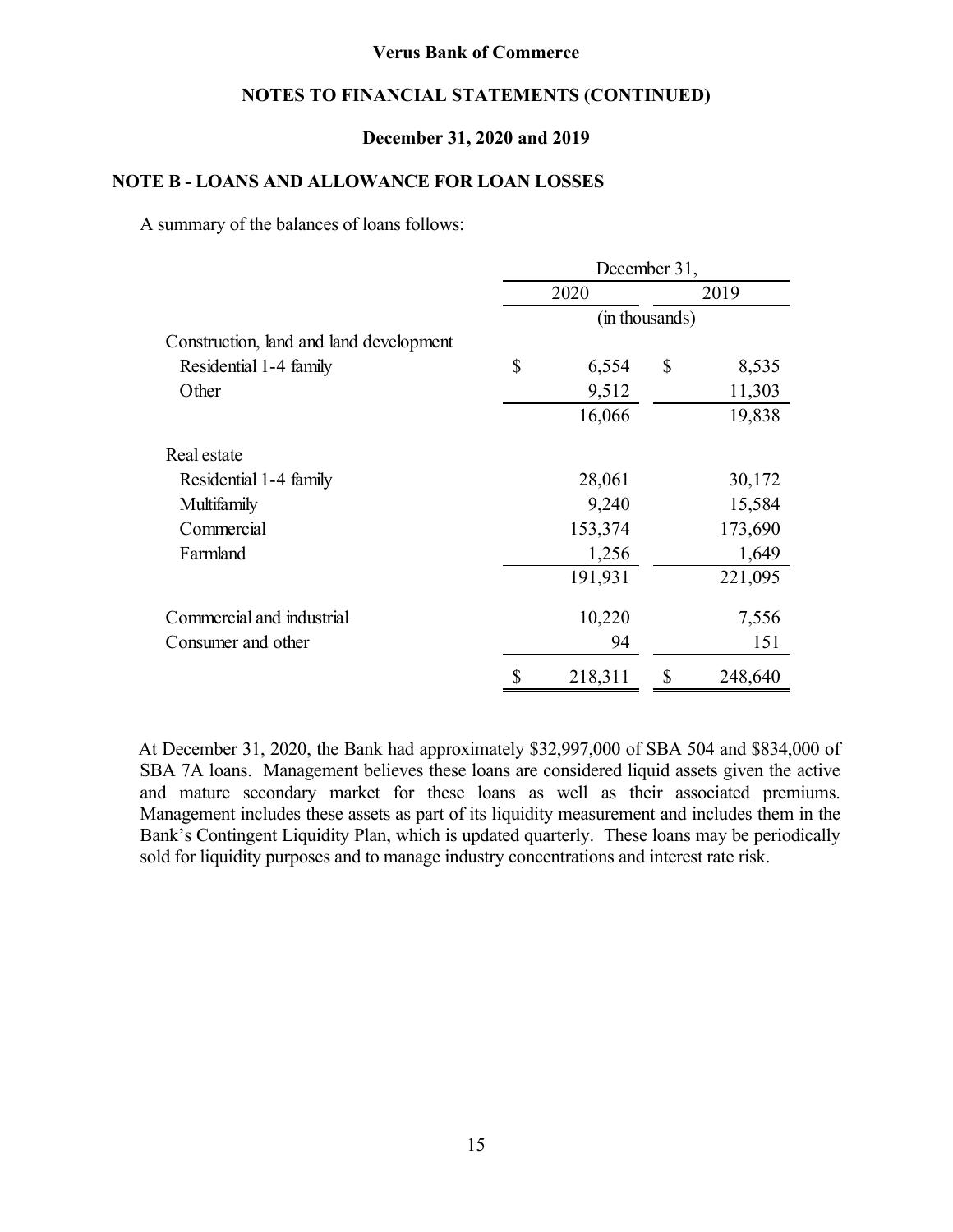### **NOTES TO FINANCIAL STATEMENTS (CONTINUED)**

### **December 31, 2020 and 2019**

### **NOTE B - LOANS AND ALLOWANCE FOR LOAN LOSSES**

A summary of the balances of loans follows:

|                                         | December 31, |         |                |         |  |  |  |  |  |  |  |
|-----------------------------------------|--------------|---------|----------------|---------|--|--|--|--|--|--|--|
|                                         |              | 2020    |                | 2019    |  |  |  |  |  |  |  |
|                                         |              |         | (in thousands) |         |  |  |  |  |  |  |  |
| Construction, land and land development |              |         |                |         |  |  |  |  |  |  |  |
| Residential 1-4 family                  | \$           | 6,554   | \$             | 8,535   |  |  |  |  |  |  |  |
| Other                                   |              | 9,512   |                | 11,303  |  |  |  |  |  |  |  |
|                                         |              | 16,066  |                | 19,838  |  |  |  |  |  |  |  |
| Real estate                             |              |         |                |         |  |  |  |  |  |  |  |
| Residential 1-4 family                  |              | 28,061  |                | 30,172  |  |  |  |  |  |  |  |
| Multifamily                             |              | 9,240   |                | 15,584  |  |  |  |  |  |  |  |
| Commercial                              |              | 153,374 |                | 173,690 |  |  |  |  |  |  |  |
| Farmland                                |              | 1,256   |                | 1,649   |  |  |  |  |  |  |  |
|                                         |              | 191,931 |                | 221,095 |  |  |  |  |  |  |  |
| Commercial and industrial               |              | 10,220  |                | 7,556   |  |  |  |  |  |  |  |
| Consumer and other                      |              | 94      |                | 151     |  |  |  |  |  |  |  |
|                                         | \$           | 218,311 | \$             | 248,640 |  |  |  |  |  |  |  |

At December 31, 2020, the Bank had approximately \$32,997,000 of SBA 504 and \$834,000 of SBA 7A loans. Management believes these loans are considered liquid assets given the active and mature secondary market for these loans as well as their associated premiums. Management includes these assets as part of its liquidity measurement and includes them in the Bank's Contingent Liquidity Plan, which is updated quarterly. These loans may be periodically sold for liquidity purposes and to manage industry concentrations and interest rate risk.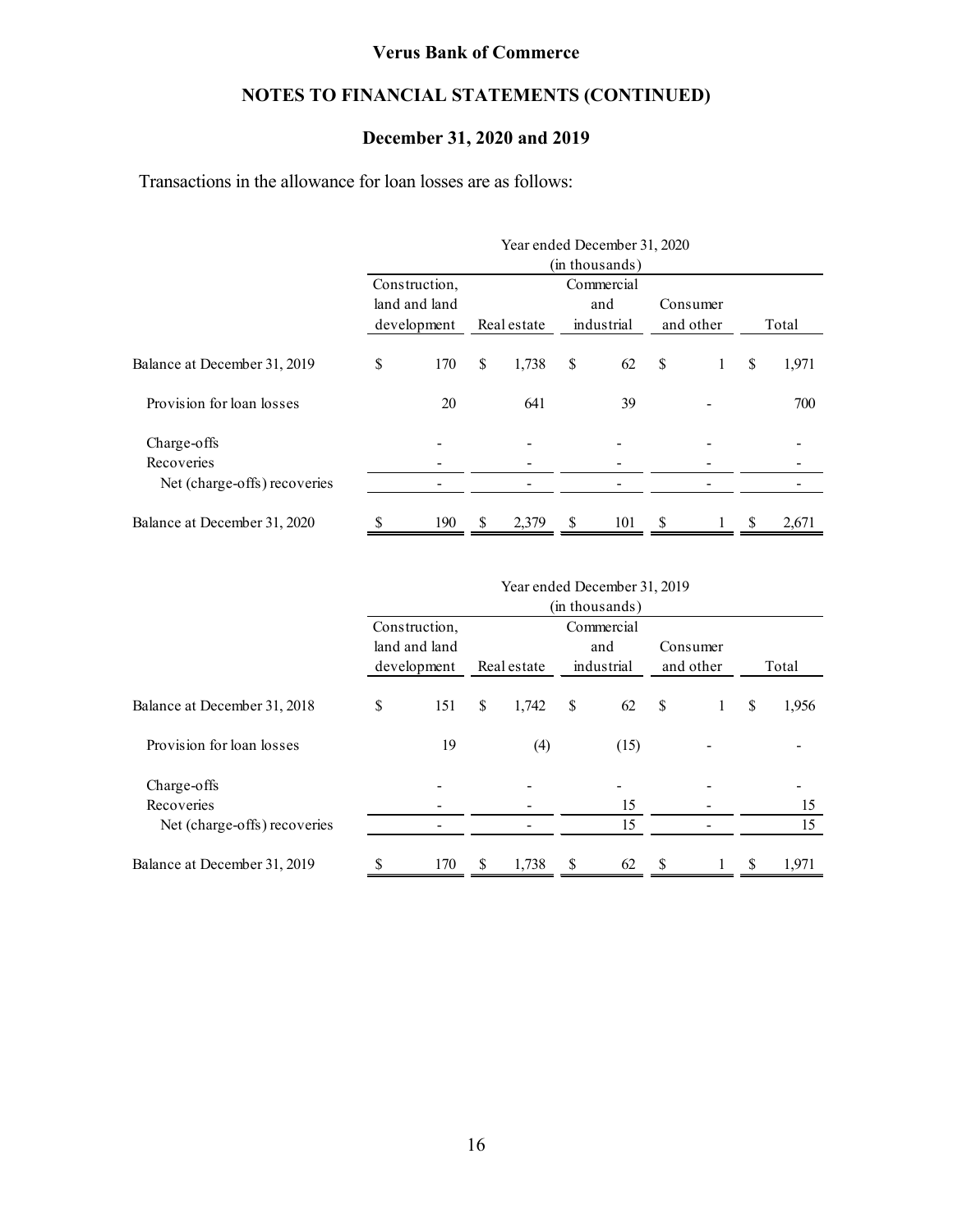## **NOTES TO FINANCIAL STATEMENTS (CONTINUED)**

### **December 31, 2020 and 2019**

Transactions in the allowance for loan losses are as follows:

|                              |               |    | Year ended December 31, 2020 |    |                |               |           |       |       |
|------------------------------|---------------|----|------------------------------|----|----------------|---------------|-----------|-------|-------|
|                              |               |    |                              |    | (in thousands) |               |           |       |       |
|                              | Construction, |    |                              |    | Commercial     |               |           |       |       |
|                              | land and land |    |                              |    | and            |               | Consumer  |       |       |
|                              | development   |    | industrial<br>Real estate    |    |                |               | and other | Total |       |
| Balance at December 31, 2019 | \$<br>170     | \$ | 1,738                        | \$ | 62             | <sup>\$</sup> | 1         | S     | 1,971 |
| Provision for loan losses    | 20            |    | 641                          |    | 39             |               |           |       | 700   |
| Charge-offs                  |               |    |                              |    |                |               |           |       |       |
| Recoveries                   |               |    |                              |    |                |               |           |       |       |
| Net (charge-offs) recoveries |               |    |                              |    |                |               |           |       |       |
| Balance at December 31, 2020 | \$<br>190     | \$ | 2,379                        | \$ | 101            | \$            |           | S     | 2,671 |

|                              |    |                                             |               | Year ended December 31, 2019 |    |                |           |          |       |       |
|------------------------------|----|---------------------------------------------|---------------|------------------------------|----|----------------|-----------|----------|-------|-------|
|                              |    |                                             |               |                              |    | (in thousands) |           |          |       |       |
|                              |    | Construction,                               |               |                              |    | Commercial     |           |          |       |       |
|                              |    | land and land<br>Real estate<br>development |               |                              |    | and            |           | Consumer |       |       |
|                              |    |                                             |               |                              |    | industrial     | and other |          | Total |       |
| Balance at December 31, 2018 | \$ | 151                                         | <sup>\$</sup> | 1,742                        | \$ | 62             | \$        | Ι.       | S     | 1,956 |
| Provision for loan losses    |    | 19                                          |               | (4)                          |    | (15)           |           |          |       |       |
| Charge-offs                  |    |                                             |               |                              |    |                |           |          |       |       |
| Recoveries                   |    |                                             |               |                              |    | 15             |           |          |       | 15    |
| Net (charge-offs) recoveries |    |                                             |               |                              |    | 15             |           |          |       | 15    |
| Balance at December 31, 2019 |    | 170                                         | <sup>\$</sup> | 1,738                        | S  | 62             | S         |          | -S    | 1,971 |

16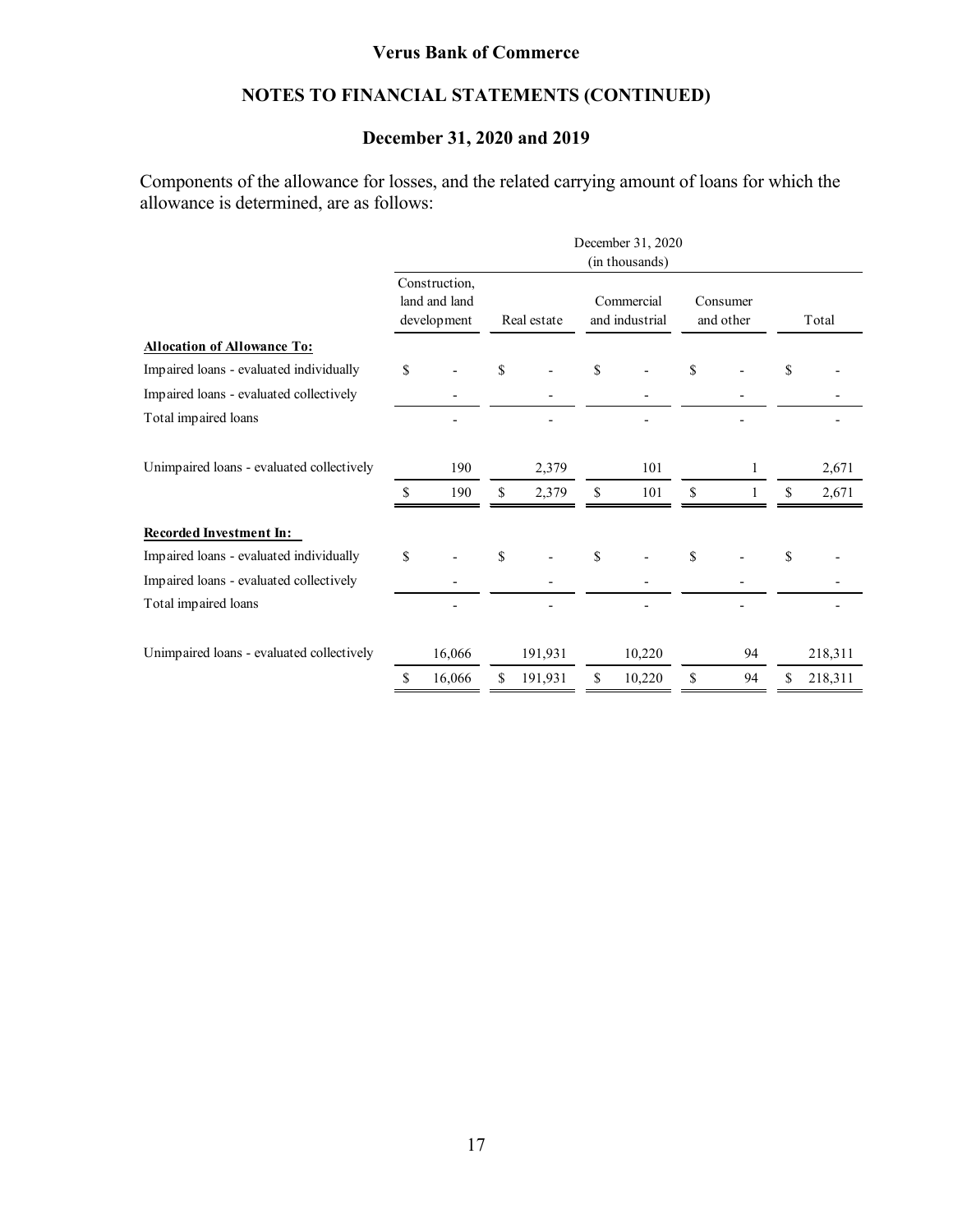## **NOTES TO FINANCIAL STATEMENTS (CONTINUED)**

### **December 31, 2020 and 2019**

Components of the allowance for losses, and the related carrying amount of loans for which the allowance is determined, are as follows:

|                                           |                                               |        |             |         |                              |        |                       |    | December 31, 2020<br>(in thousands) |         |  |  |  |  |  |  |  |  |  |  |
|-------------------------------------------|-----------------------------------------------|--------|-------------|---------|------------------------------|--------|-----------------------|----|-------------------------------------|---------|--|--|--|--|--|--|--|--|--|--|
|                                           | Construction,<br>land and land<br>development |        | Real estate |         | Commercial<br>and industrial |        | Consumer<br>and other |    |                                     | Total   |  |  |  |  |  |  |  |  |  |  |
| Allocation of Allowance To:               |                                               |        |             |         |                              |        |                       |    |                                     |         |  |  |  |  |  |  |  |  |  |  |
| Impaired loans - evaluated individually   | \$                                            |        | \$          |         | \$                           |        | \$                    |    | \$                                  |         |  |  |  |  |  |  |  |  |  |  |
| Impaired loans - evaluated collectively   |                                               |        |             |         |                              |        |                       |    |                                     |         |  |  |  |  |  |  |  |  |  |  |
| Total impaired loans                      |                                               |        |             |         |                              |        |                       |    |                                     |         |  |  |  |  |  |  |  |  |  |  |
| Unimpaired loans - evaluated collectively |                                               | 190    |             | 2,379   |                              | 101    |                       | 1  |                                     | 2,671   |  |  |  |  |  |  |  |  |  |  |
|                                           | \$                                            | 190    | \$          | 2,379   | \$                           | 101    | \$                    |    | \$                                  | 2,671   |  |  |  |  |  |  |  |  |  |  |
| <b>Recorded Investment In:</b>            |                                               |        |             |         |                              |        |                       |    |                                     |         |  |  |  |  |  |  |  |  |  |  |
| Impaired loans - evaluated individually   | \$                                            |        | \$          |         | \$                           |        | \$                    |    | \$                                  |         |  |  |  |  |  |  |  |  |  |  |
| Impaired loans - evaluated collectively   |                                               |        |             |         |                              |        |                       |    |                                     |         |  |  |  |  |  |  |  |  |  |  |
| Total impaired loans                      |                                               |        |             |         |                              |        |                       |    |                                     |         |  |  |  |  |  |  |  |  |  |  |
| Unimpaired loans - evaluated collectively |                                               | 16,066 |             | 191,931 |                              | 10,220 |                       | 94 |                                     | 218,311 |  |  |  |  |  |  |  |  |  |  |
|                                           | \$                                            | 16,066 | \$          | 191,931 | \$                           | 10,220 | \$                    | 94 | S                                   | 218,311 |  |  |  |  |  |  |  |  |  |  |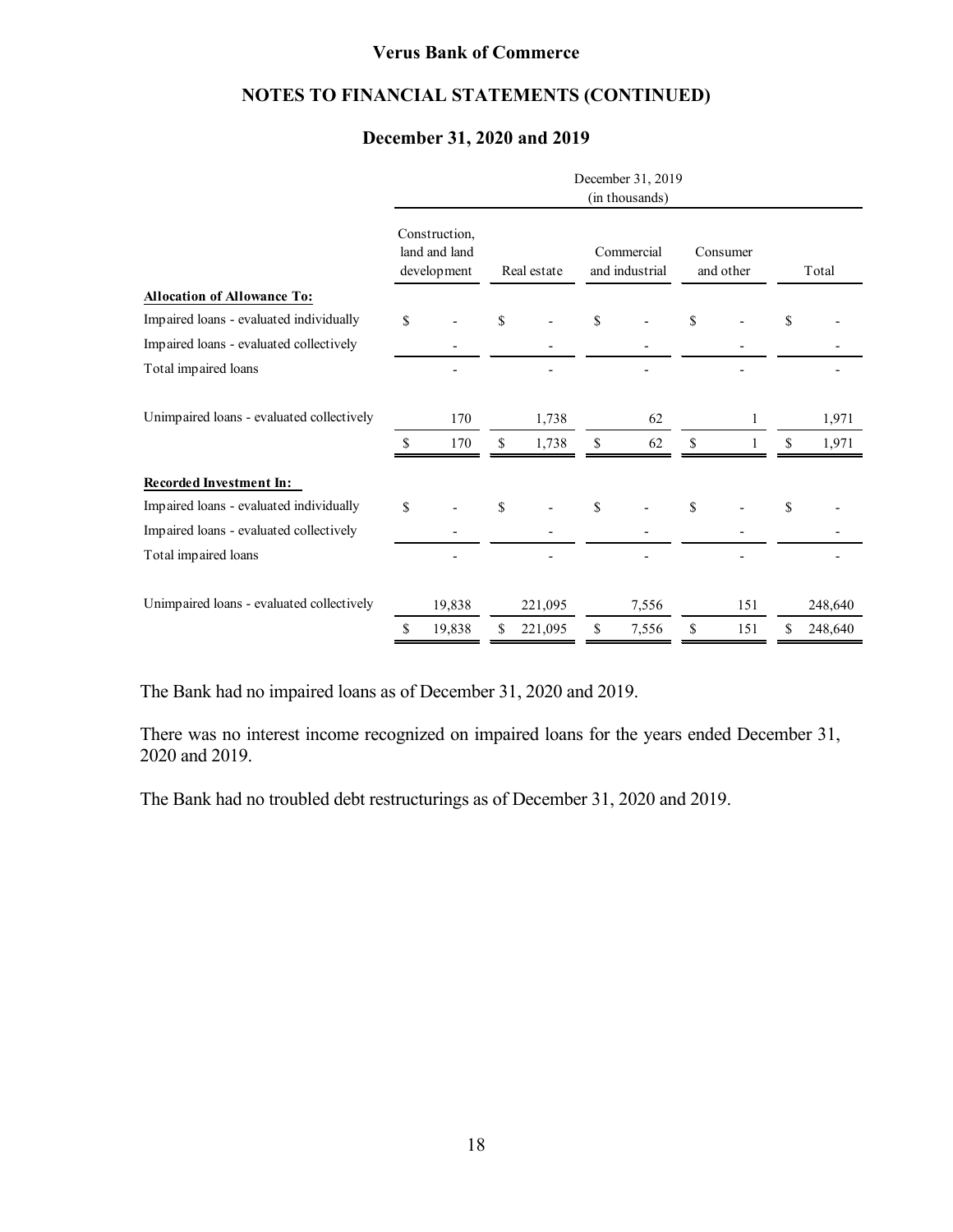### **NOTES TO FINANCIAL STATEMENTS (CONTINUED)**

### **December 31, 2020 and 2019**

|                                           | December 31, 2019<br>(in thousands)           |    |             |    |                              |    |                       |    |         |  |  |  |  |
|-------------------------------------------|-----------------------------------------------|----|-------------|----|------------------------------|----|-----------------------|----|---------|--|--|--|--|
|                                           | Construction,<br>land and land<br>development |    | Real estate |    | Commercial<br>and industrial |    | Consumer<br>and other |    | Total   |  |  |  |  |
| <b>Allocation of Allowance To:</b>        |                                               |    |             |    |                              |    |                       |    |         |  |  |  |  |
| Impaired loans - evaluated individually   | \$                                            | \$ |             | \$ |                              | \$ |                       | \$ |         |  |  |  |  |
| Impaired loans - evaluated collectively   |                                               |    |             |    |                              |    |                       |    |         |  |  |  |  |
| Total impaired loans                      |                                               |    |             |    |                              |    |                       |    |         |  |  |  |  |
| Unimpaired loans - evaluated collectively | 170                                           |    | 1,738       |    | 62                           |    |                       |    | 1,971   |  |  |  |  |
|                                           | \$<br>170                                     | \$ | 1,738       | \$ | 62                           | \$ |                       | \$ | 1,971   |  |  |  |  |
| <b>Recorded Investment In:</b>            |                                               |    |             |    |                              |    |                       |    |         |  |  |  |  |
| Impaired loans - evaluated individually   | \$                                            | \$ |             | \$ |                              | \$ |                       | \$ |         |  |  |  |  |
| Impaired loans - evaluated collectively   |                                               |    |             |    |                              |    |                       |    |         |  |  |  |  |
| Total impaired loans                      |                                               |    |             |    |                              |    |                       |    |         |  |  |  |  |
| Unimpaired loans - evaluated collectively | 19,838                                        |    | 221,095     |    | 7,556                        |    | 151                   |    | 248,640 |  |  |  |  |
|                                           | \$<br>19,838                                  | \$ | 221,095     | \$ | 7,556                        | \$ | 151                   | \$ | 248,640 |  |  |  |  |

The Bank had no impaired loans as of December 31, 2020 and 2019.

There was no interest income recognized on impaired loans for the years ended December 31, 2020 and 2019.

The Bank had no troubled debt restructurings as of December 31, 2020 and 2019.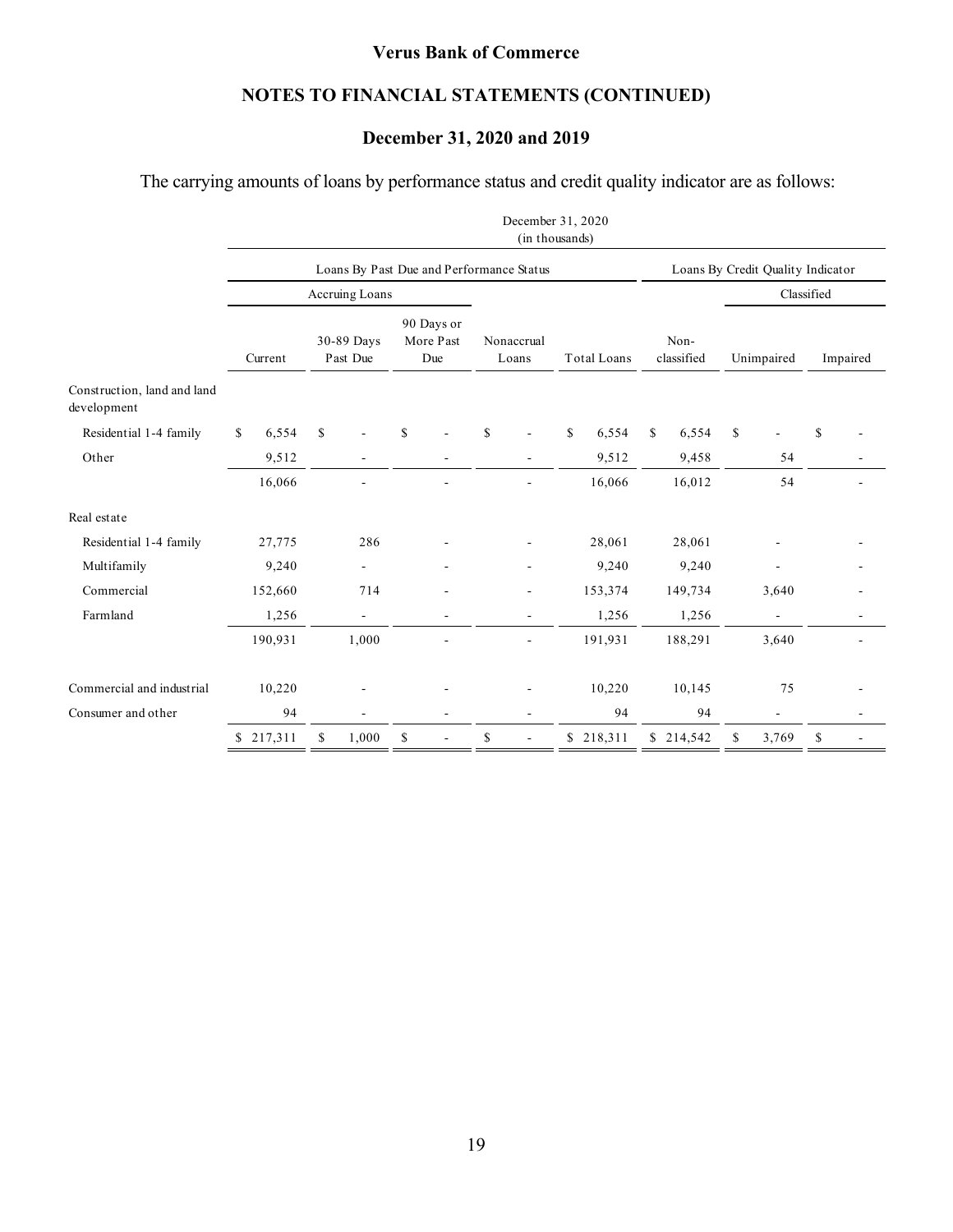## **NOTES TO FINANCIAL STATEMENTS (CONTINUED)**

### **December 31, 2020 and 2019**

### The carrying amounts of loans by performance status and credit quality indicator are as follows:

|                                            |         |           |                        |                                          |             |  | December 31, 2020<br>(in thousands) |    |                     |                                   |           |            |                    |    |                    |  |            |  |          |
|--------------------------------------------|---------|-----------|------------------------|------------------------------------------|-------------|--|-------------------------------------|----|---------------------|-----------------------------------|-----------|------------|--------------------|----|--------------------|--|------------|--|----------|
|                                            |         |           |                        | Loans By Past Due and Performance Status |             |  |                                     |    |                     | Loans By Credit Quality Indicator |           |            |                    |    |                    |  |            |  |          |
|                                            |         |           |                        | Accruing Loans                           |             |  |                                     |    |                     |                                   |           | Classified |                    |    |                    |  |            |  |          |
|                                            | Current |           | 30-89 Days<br>Past Due |                                          |             |  | 90 Days or<br>More Past<br>Due      |    | Nonaccrual<br>Loans |                                   |           |            | <b>Total Loans</b> |    | Non-<br>classified |  | Unimpaired |  | Impaired |
| Construction, land and land<br>development |         |           |                        |                                          |             |  |                                     |    |                     |                                   |           |            |                    |    |                    |  |            |  |          |
| Residential 1-4 family                     | \$      | 6,554     | \$                     |                                          | $\mathbf S$ |  | \$                                  | \$ | 6,554               | \$                                | 6,554     | \$         |                    | \$ |                    |  |            |  |          |
| Other                                      |         | 9,512     |                        |                                          |             |  |                                     |    | 9,512               |                                   | 9,458     |            | 54                 |    |                    |  |            |  |          |
|                                            |         | 16,066    |                        |                                          |             |  |                                     |    | 16,066              |                                   | 16,012    |            | 54                 |    |                    |  |            |  |          |
| Real estate                                |         |           |                        |                                          |             |  |                                     |    |                     |                                   |           |            |                    |    |                    |  |            |  |          |
| Residential 1-4 family                     |         | 27,775    |                        | 286                                      |             |  |                                     |    | 28,061              |                                   | 28,061    |            |                    |    |                    |  |            |  |          |
| Multifamily                                |         | 9,240     |                        | ÷.                                       |             |  |                                     |    | 9,240               |                                   | 9,240     |            | ٠                  |    |                    |  |            |  |          |
| Commercial                                 |         | 152,660   |                        | 714                                      |             |  |                                     |    | 153,374             |                                   | 149,734   |            | 3,640              |    |                    |  |            |  |          |
| Farmland                                   |         | 1,256     |                        | $\blacksquare$                           |             |  |                                     |    | 1,256               |                                   | 1,256     |            | ÷.                 |    |                    |  |            |  |          |
|                                            |         | 190,931   |                        | 1,000                                    |             |  | ÷.                                  |    | 191,931             |                                   | 188,291   |            | 3,640              |    |                    |  |            |  |          |
| Commercial and industrial                  |         | 10,220    |                        |                                          |             |  |                                     |    | 10,220              |                                   | 10,145    |            | 75                 |    |                    |  |            |  |          |
| Consumer and other                         |         | 94        |                        | ä,                                       |             |  | ٠                                   |    | 94                  |                                   | 94        |            |                    |    |                    |  |            |  |          |
|                                            |         | \$217,311 | \$                     | 1,000                                    | \$          |  | \$<br>$\blacksquare$                |    | \$218,311           |                                   | \$214,542 | \$         | 3,769              | \$ |                    |  |            |  |          |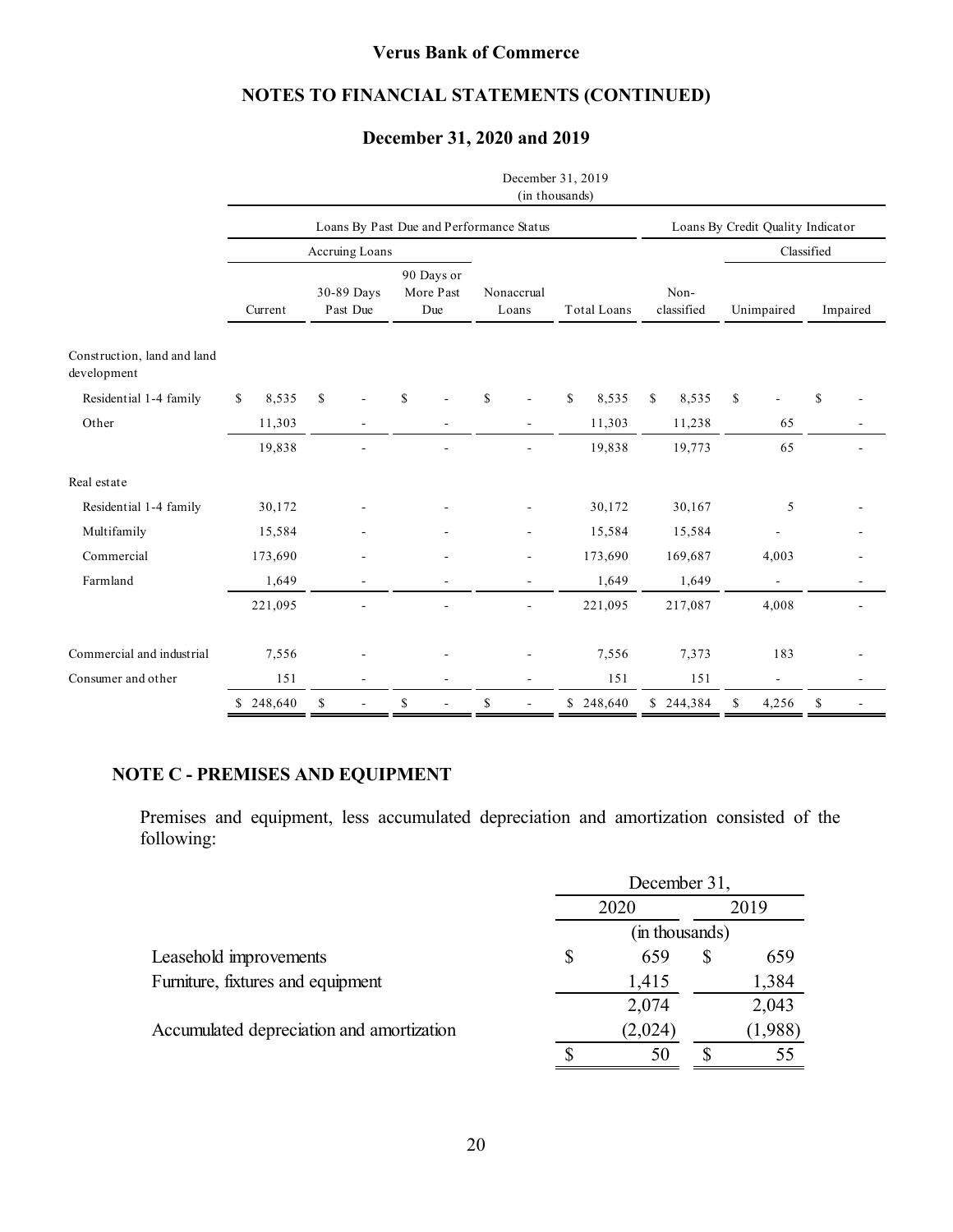### **NOTES TO FINANCIAL STATEMENTS (CONTINUED)**

### **December 31, 2020 and 2019**

|                                            |         |           |                        |                |    |                                          |                                | December 31, 2019<br>(in thousands) |    |                                           |                                   |           |            |                    |               |            |  |          |
|--------------------------------------------|---------|-----------|------------------------|----------------|----|------------------------------------------|--------------------------------|-------------------------------------|----|-------------------------------------------|-----------------------------------|-----------|------------|--------------------|---------------|------------|--|----------|
|                                            |         |           |                        |                |    | Loans By Past Due and Performance Status |                                |                                     |    |                                           | Loans By Credit Quality Indicator |           |            |                    |               |            |  |          |
|                                            |         |           |                        | Accruing Loans |    |                                          |                                |                                     |    |                                           |                                   |           | Classified |                    |               |            |  |          |
|                                            | Current |           | 30-89 Days<br>Past Due |                |    |                                          | 90 Days or<br>More Past<br>Due |                                     |    | Nonaccrual<br><b>Total Loans</b><br>Loans |                                   |           |            | Non-<br>classified |               | Unimpaired |  | Impaired |
| Construction, land and land<br>development |         |           |                        |                |    |                                          |                                |                                     |    |                                           |                                   |           |            |                    |               |            |  |          |
| Residential 1-4 family                     | S.      | 8,535     | $\mathbf S$            |                | S  |                                          | $\mathbf S$                    |                                     | \$ | 8,535                                     | \$                                | 8,535     | \$         |                    | <sup>\$</sup> |            |  |          |
| Other                                      |         | 11,303    |                        |                |    |                                          |                                |                                     |    | 11,303                                    |                                   | 11,238    |            | 65                 |               |            |  |          |
|                                            |         | 19,838    |                        |                |    |                                          |                                |                                     |    | 19,838                                    |                                   | 19,773    |            | 65                 |               |            |  |          |
| Real estate                                |         |           |                        |                |    |                                          |                                |                                     |    |                                           |                                   |           |            |                    |               |            |  |          |
| Residential 1-4 family                     |         | 30,172    |                        |                |    |                                          |                                |                                     |    | 30,172                                    |                                   | 30,167    |            | 5                  |               |            |  |          |
| Multifamily                                |         | 15,584    |                        |                |    |                                          |                                |                                     |    | 15,584                                    |                                   | 15,584    |            |                    |               |            |  |          |
| Commercial                                 |         | 173,690   |                        |                |    |                                          |                                |                                     |    | 173,690                                   |                                   | 169,687   |            | 4,003              |               |            |  |          |
| Farmland                                   |         | 1,649     |                        |                |    | ÷                                        |                                |                                     |    | 1,649                                     |                                   | 1,649     |            | $\blacksquare$     |               | ٠          |  |          |
|                                            |         | 221,095   |                        |                |    |                                          |                                |                                     |    | 221,095                                   |                                   | 217,087   |            | 4,008              |               |            |  |          |
| Commercial and industrial                  |         | 7,556     |                        |                |    |                                          |                                |                                     |    | 7,556                                     |                                   | 7,373     |            | 183                |               |            |  |          |
| Consumer and other                         |         | 151       |                        |                |    |                                          |                                |                                     |    | 151                                       |                                   | 151       |            |                    |               |            |  |          |
|                                            |         | \$248,640 | \$                     |                | \$ | $\overline{\phantom{a}}$                 | $\mathbb{S}$                   |                                     |    | \$248,640                                 |                                   | \$244,384 | \$         | 4,256              | \$            |            |  |          |

### **NOTE C - PREMISES AND EQUIPMENT**

Premises and equipment, less accumulated depreciation and amortization consisted of the following:

|                                           |      | December 31,   |  |         |
|-------------------------------------------|------|----------------|--|---------|
|                                           | 2020 | 2019           |  |         |
|                                           |      | (in thousands) |  |         |
| Leasehold improvements                    | S    | 659            |  | 659     |
| Furniture, fixtures and equipment         |      | 1,415          |  | 1,384   |
|                                           |      | 2,074          |  | 2,043   |
| Accumulated depreciation and amortization |      | (2,024)        |  | (1,988) |
|                                           |      | 50             |  |         |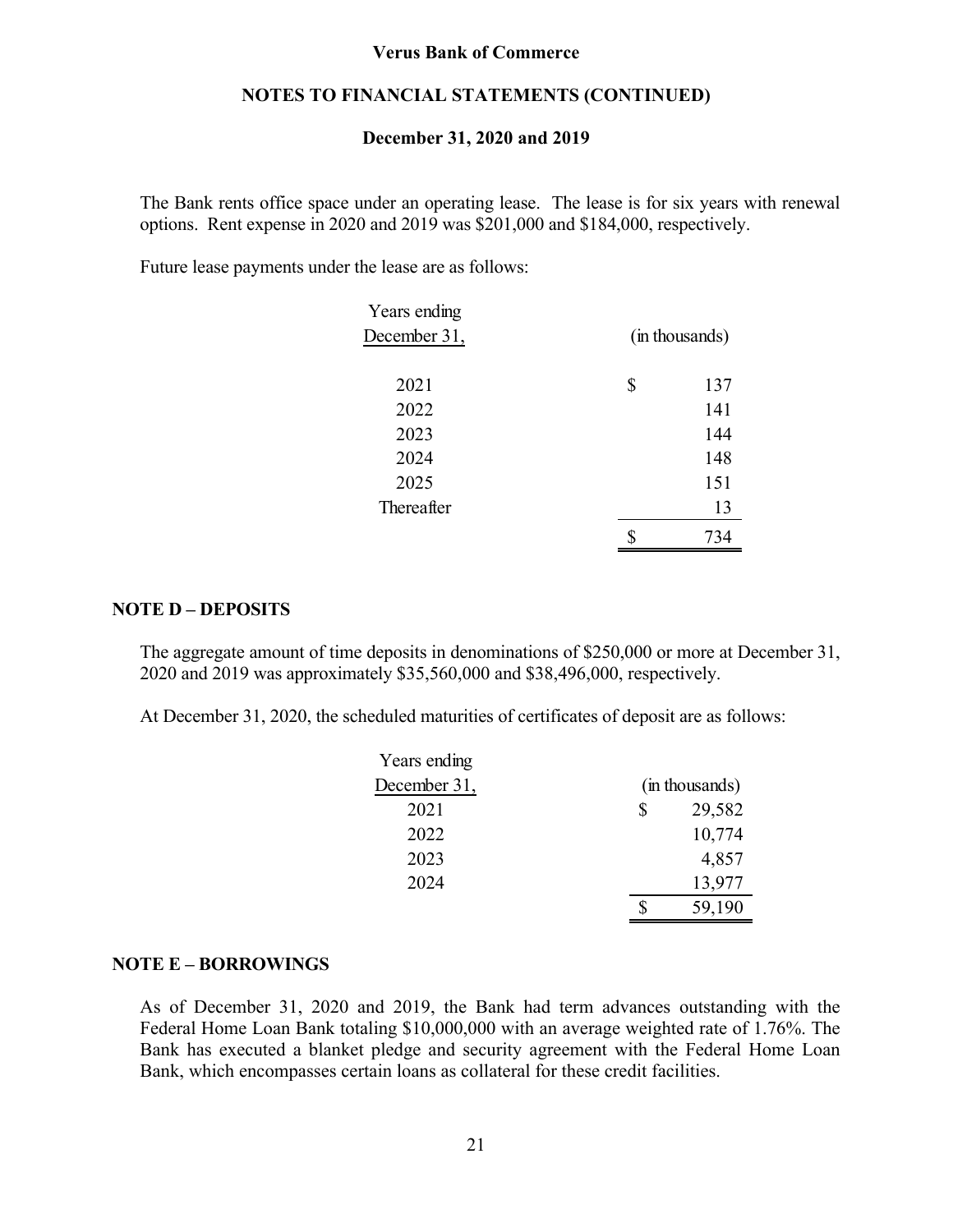### **NOTES TO FINANCIAL STATEMENTS (CONTINUED)**

#### **December 31, 2020 and 2019**

The Bank rents office space under an operating lease. The lease is for six years with renewal options. Rent expense in 2020 and 2019 was \$201,000 and \$184,000, respectively.

Future lease payments under the lease are as follows:

| Years ending |                |     |  |
|--------------|----------------|-----|--|
| December 31, | (in thousands) |     |  |
|              |                |     |  |
| 2021         | \$             | 137 |  |
| 2022         |                | 141 |  |
| 2023         |                | 144 |  |
| 2024         |                | 148 |  |
| 2025         |                | 151 |  |
| Thereafter   |                | 13  |  |
|              |                |     |  |

#### **NOTE D – DEPOSITS**

The aggregate amount of time deposits in denominations of \$250,000 or more at December 31, 2020 and 2019 was approximately \$35,560,000 and \$38,496,000, respectively.

At December 31, 2020, the scheduled maturities of certificates of deposit are as follows:

| Years ending |   |                |  |  |
|--------------|---|----------------|--|--|
| December 31, |   | (in thousands) |  |  |
| 2021         | S | 29,582         |  |  |
| 2022         |   | 10,774         |  |  |
| 2023         |   | 4,857          |  |  |
| 2024         |   | 13,977         |  |  |
|              |   | 59,190         |  |  |

#### **NOTE E – BORROWINGS**

As of December 31, 2020 and 2019, the Bank had term advances outstanding with the Federal Home Loan Bank totaling \$10,000,000 with an average weighted rate of 1.76%. The Bank has executed a blanket pledge and security agreement with the Federal Home Loan Bank, which encompasses certain loans as collateral for these credit facilities.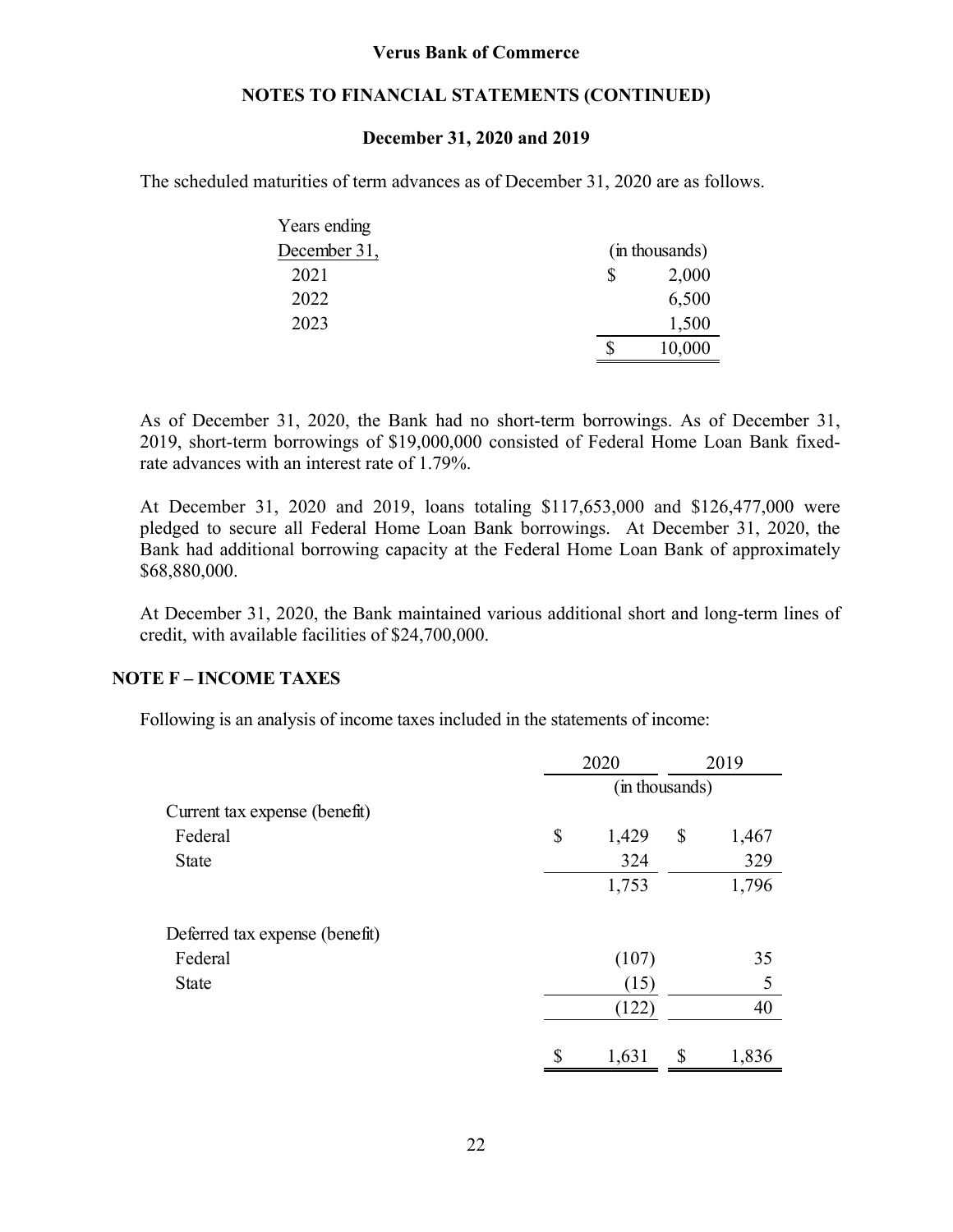### **NOTES TO FINANCIAL STATEMENTS (CONTINUED)**

### **December 31, 2020 and 2019**

The scheduled maturities of term advances as of December 31, 2020 are as follows.

| Years ending |                |  |  |
|--------------|----------------|--|--|
| December 31, | (in thousands) |  |  |
| 2021         | 2,000          |  |  |
| 2022         | 6,500          |  |  |
| 2023         | 1,500          |  |  |
|              | 10,000         |  |  |

As of December 31, 2020, the Bank had no short-term borrowings. As of December 31, 2019, short-term borrowings of \$19,000,000 consisted of Federal Home Loan Bank fixedrate advances with an interest rate of 1.79%.

At December 31, 2020 and 2019, loans totaling \$117,653,000 and \$126,477,000 were pledged to secure all Federal Home Loan Bank borrowings. At December 31, 2020, the Bank had additional borrowing capacity at the Federal Home Loan Bank of approximately \$68,880,000.

At December 31, 2020, the Bank maintained various additional short and long-term lines of credit, with available facilities of \$24,700,000.

### **NOTE F – INCOME TAXES**

Following is an analysis of income taxes included in the statements of income:

|                                |                | 2020  |    | 2019  |  |
|--------------------------------|----------------|-------|----|-------|--|
|                                | (in thousands) |       |    |       |  |
| Current tax expense (benefit)  |                |       |    |       |  |
| Federal                        | \$             | 1,429 | \$ | 1,467 |  |
| <b>State</b>                   |                | 324   |    | 329   |  |
|                                |                | 1,753 |    | 1,796 |  |
| Deferred tax expense (benefit) |                |       |    |       |  |
| Federal                        |                | (107) |    | 35    |  |
| <b>State</b>                   |                | (15)  |    | 5     |  |
|                                |                | (122) |    | 40    |  |
|                                | \$             | 1,631 | \$ | 1,836 |  |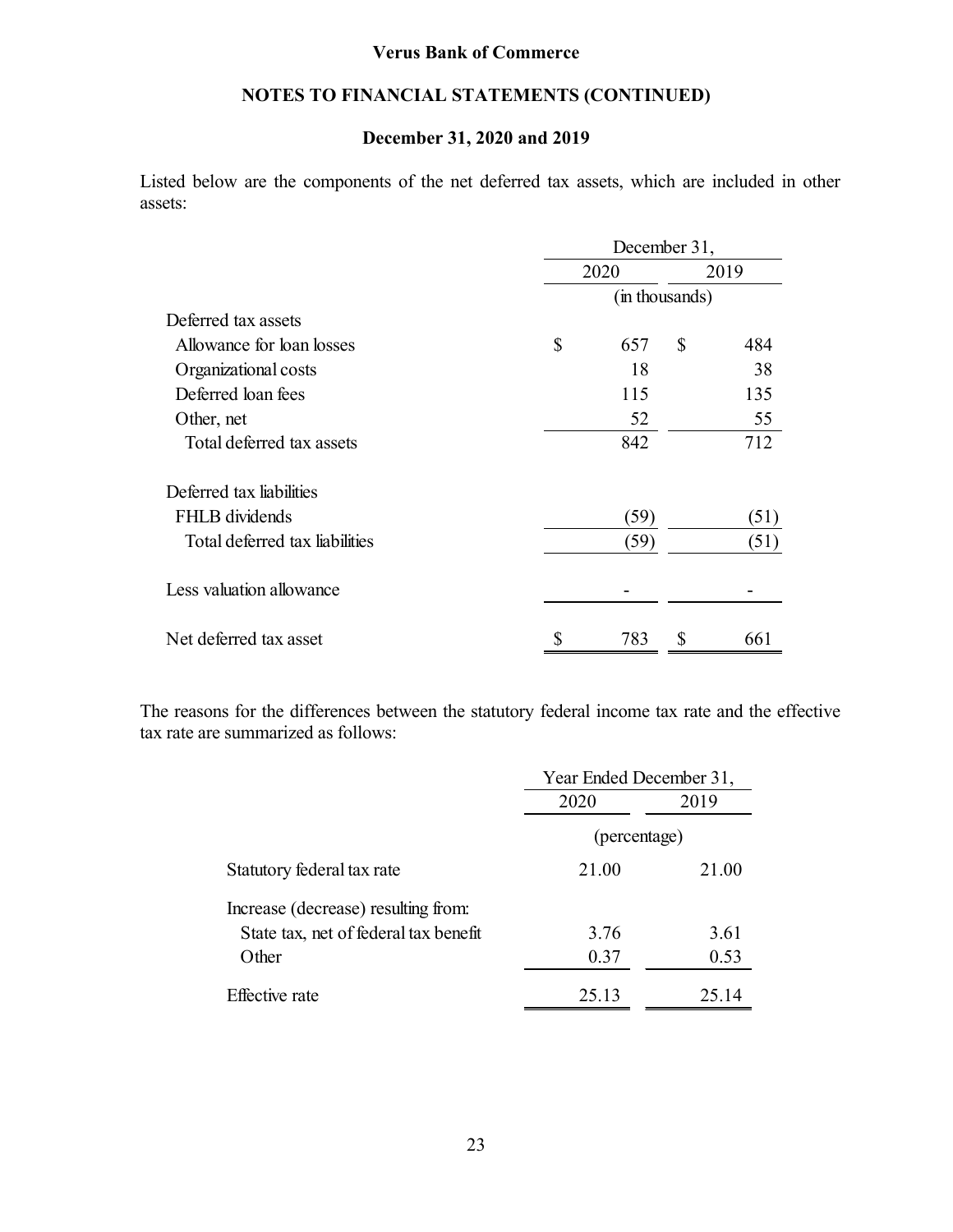### **NOTES TO FINANCIAL STATEMENTS (CONTINUED)**

### **December 31, 2020 and 2019**

Listed below are the components of the net deferred tax assets, which are included in other assets:

|                                | December 31,   |      |   |      |  |
|--------------------------------|----------------|------|---|------|--|
|                                |                | 2020 |   | 2019 |  |
|                                | (in thousands) |      |   |      |  |
| Deferred tax assets            |                |      |   |      |  |
| Allowance for loan losses      | \$             | 657  | S | 484  |  |
| Organizational costs           |                | 18   |   | 38   |  |
| Deferred loan fees             |                | 115  |   | 135  |  |
| Other, net                     |                | 52   |   | 55   |  |
| Total deferred tax assets      |                | 842  |   | 712  |  |
| Deferred tax liabilities       |                |      |   |      |  |
| FHLB dividends                 |                | (59) |   | (51) |  |
| Total deferred tax liabilities |                | (59) |   | (51) |  |
| Less valuation allowance       |                |      |   |      |  |
| Net deferred tax asset         |                | 783  | S | 661  |  |

The reasons for the differences between the statutory federal income tax rate and the effective tax rate are summarized as follows:

|                                       | Year Ended December 31, |       |  |  |
|---------------------------------------|-------------------------|-------|--|--|
|                                       | 2020<br>2019            |       |  |  |
|                                       | (percentage)            |       |  |  |
| Statutory federal tax rate            | 21.00                   | 21.00 |  |  |
| Increase (decrease) resulting from:   |                         |       |  |  |
| State tax, net of federal tax benefit | 3.76                    | 3.61  |  |  |
| Other                                 | 0.37                    | 0.53  |  |  |
| <b>Effective</b> rate                 | 25.13                   | 25.14 |  |  |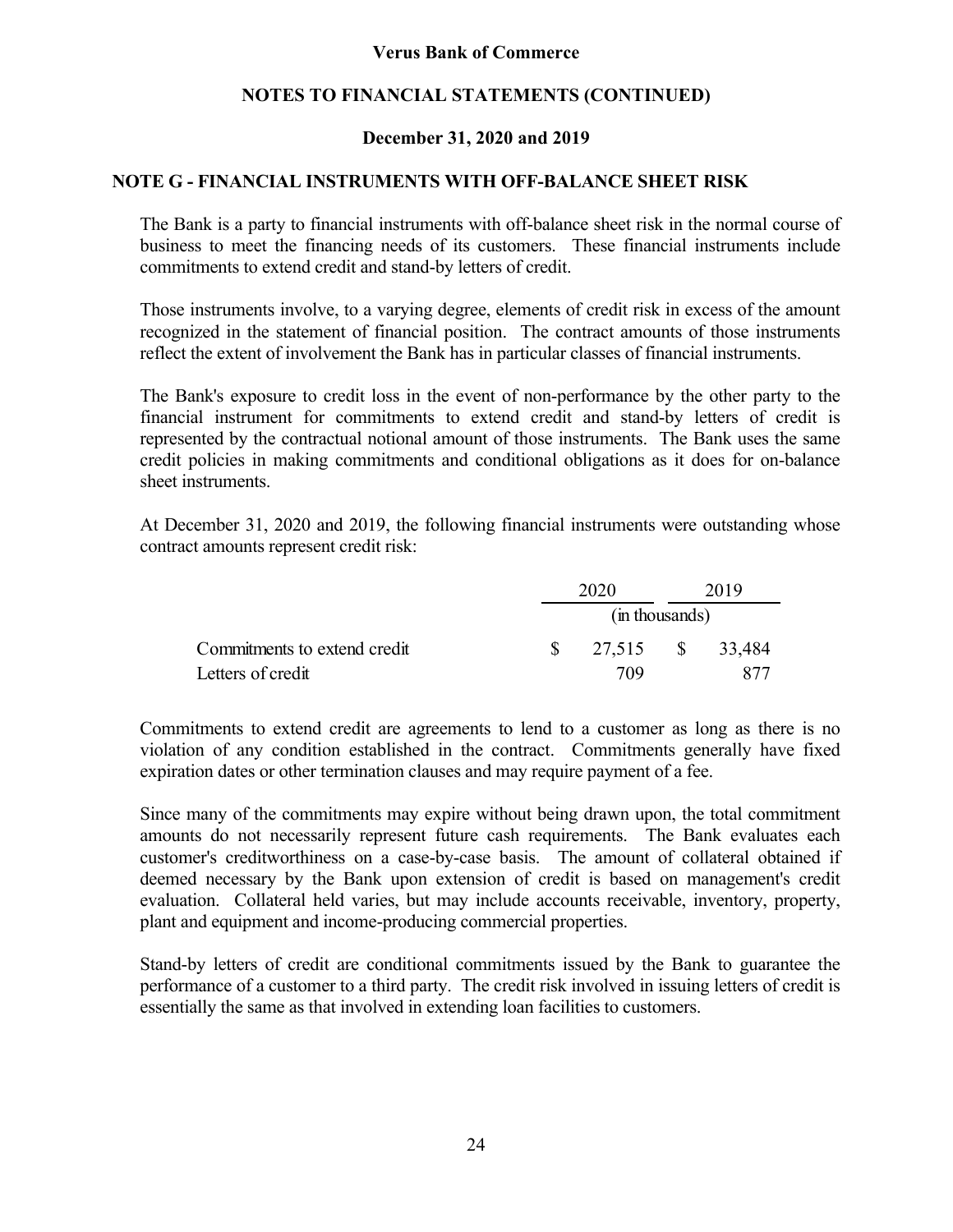### **NOTES TO FINANCIAL STATEMENTS (CONTINUED)**

### **December 31, 2020 and 2019**

### **NOTE G - FINANCIAL INSTRUMENTS WITH OFF-BALANCE SHEET RISK**

The Bank is a party to financial instruments with off-balance sheet risk in the normal course of business to meet the financing needs of its customers. These financial instruments include commitments to extend credit and stand-by letters of credit.

Those instruments involve, to a varying degree, elements of credit risk in excess of the amount recognized in the statement of financial position. The contract amounts of those instruments reflect the extent of involvement the Bank has in particular classes of financial instruments.

The Bank's exposure to credit loss in the event of non-performance by the other party to the financial instrument for commitments to extend credit and stand-by letters of credit is represented by the contractual notional amount of those instruments. The Bank uses the same credit policies in making commitments and conditional obligations as it does for on-balance sheet instruments.

At December 31, 2020 and 2019, the following financial instruments were outstanding whose contract amounts represent credit risk:

|                              | 2020          |                  | 2019 |  |
|------------------------------|---------------|------------------|------|--|
|                              |               | (in thousands)   |      |  |
| Commitments to extend credit | $\mathcal{S}$ | 27,515 \$ 33,484 |      |  |
| Letters of credit            |               | 709              |      |  |

Commitments to extend credit are agreements to lend to a customer as long as there is no violation of any condition established in the contract. Commitments generally have fixed expiration dates or other termination clauses and may require payment of a fee.

Since many of the commitments may expire without being drawn upon, the total commitment amounts do not necessarily represent future cash requirements. The Bank evaluates each customer's creditworthiness on a case-by-case basis. The amount of collateral obtained if deemed necessary by the Bank upon extension of credit is based on management's credit evaluation. Collateral held varies, but may include accounts receivable, inventory, property, plant and equipment and income-producing commercial properties.

Stand-by letters of credit are conditional commitments issued by the Bank to guarantee the performance of a customer to a third party. The credit risk involved in issuing letters of credit is essentially the same as that involved in extending loan facilities to customers.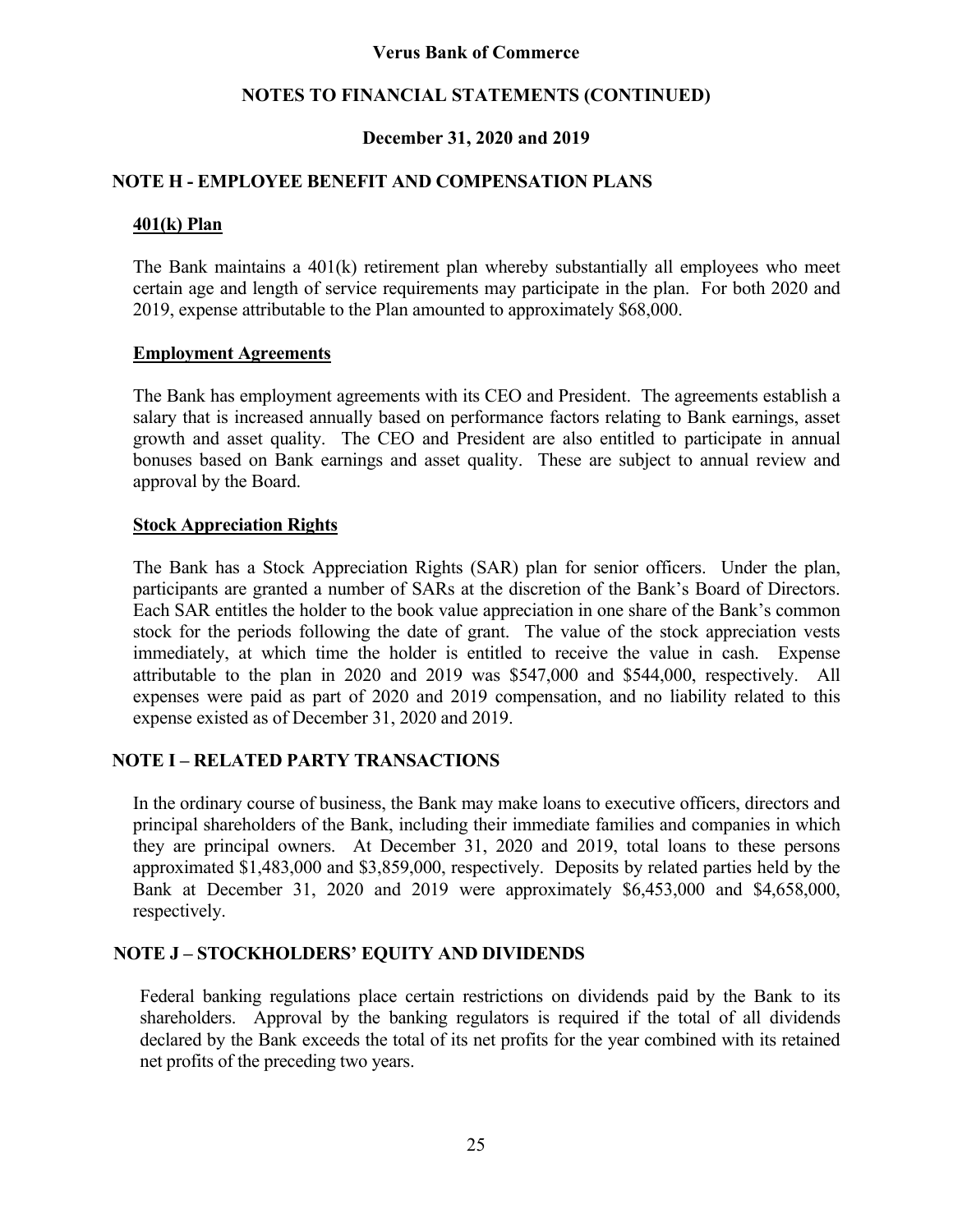### **NOTES TO FINANCIAL STATEMENTS (CONTINUED)**

### **December 31, 2020 and 2019**

### **NOTE H - EMPLOYEE BENEFIT AND COMPENSATION PLANS**

### **401(k) Plan**

The Bank maintains a 401(k) retirement plan whereby substantially all employees who meet certain age and length of service requirements may participate in the plan. For both 2020 and 2019, expense attributable to the Plan amounted to approximately \$68,000.

### **Employment Agreements**

The Bank has employment agreements with its CEO and President. The agreements establish a salary that is increased annually based on performance factors relating to Bank earnings, asset growth and asset quality. The CEO and President are also entitled to participate in annual bonuses based on Bank earnings and asset quality. These are subject to annual review and approval by the Board.

### **Stock Appreciation Rights**

The Bank has a Stock Appreciation Rights (SAR) plan for senior officers. Under the plan, participants are granted a number of SARs at the discretion of the Bank's Board of Directors. Each SAR entitles the holder to the book value appreciation in one share of the Bank's common stock for the periods following the date of grant. The value of the stock appreciation vests immediately, at which time the holder is entitled to receive the value in cash. Expense attributable to the plan in 2020 and 2019 was \$547,000 and \$544,000, respectively. All expenses were paid as part of 2020 and 2019 compensation, and no liability related to this expense existed as of December 31, 2020 and 2019.

### **NOTE I – RELATED PARTY TRANSACTIONS**

In the ordinary course of business, the Bank may make loans to executive officers, directors and principal shareholders of the Bank, including their immediate families and companies in which they are principal owners. At December 31, 2020 and 2019, total loans to these persons approximated \$1,483,000 and \$3,859,000, respectively. Deposits by related parties held by the Bank at December 31, 2020 and 2019 were approximately \$6,453,000 and \$4,658,000, respectively.

### **NOTE J – STOCKHOLDERS' EQUITY AND DIVIDENDS**

Federal banking regulations place certain restrictions on dividends paid by the Bank to its shareholders. Approval by the banking regulators is required if the total of all dividends declared by the Bank exceeds the total of its net profits for the year combined with its retained net profits of the preceding two years.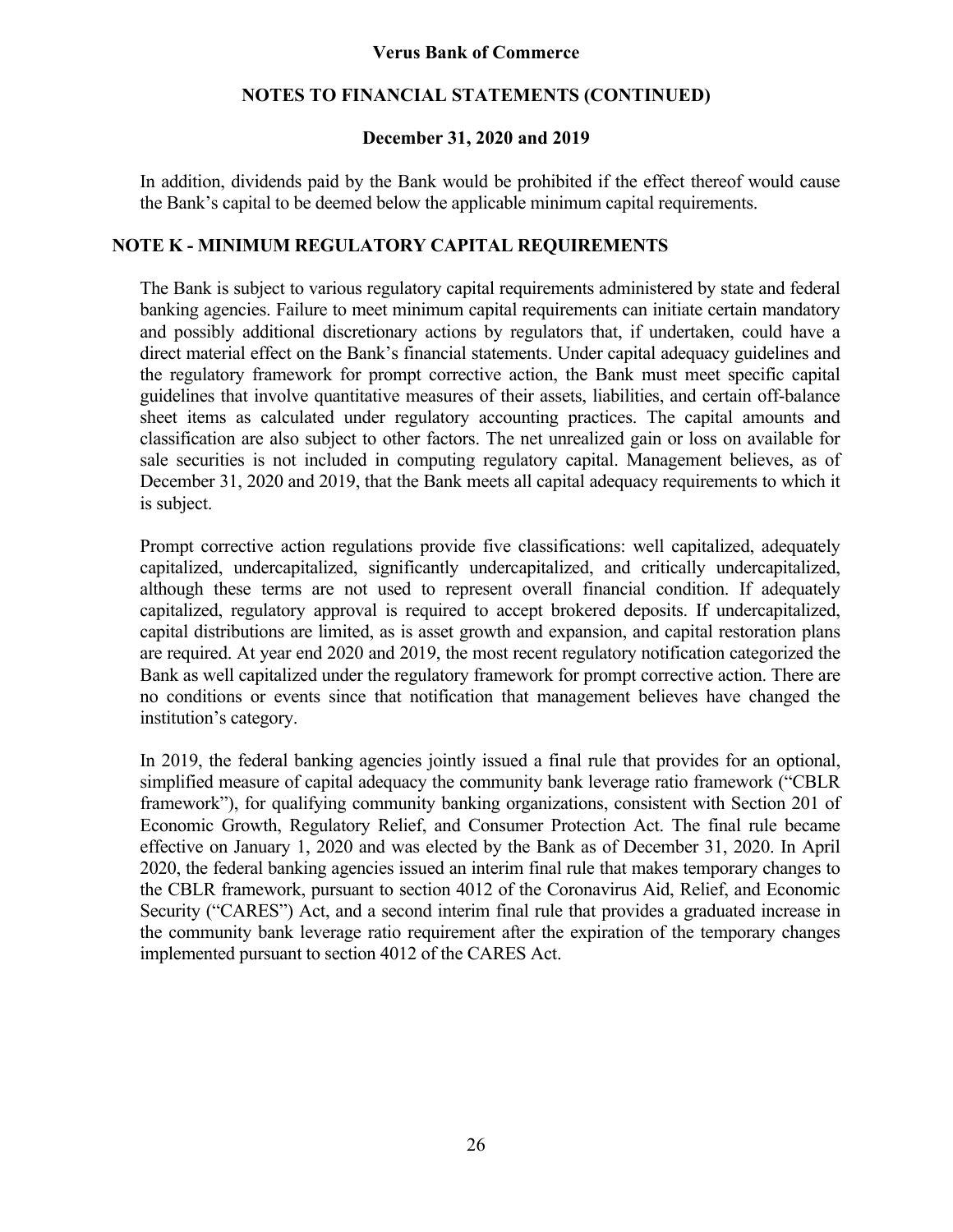### **NOTES TO FINANCIAL STATEMENTS (CONTINUED)**

### **December 31, 2020 and 2019**

In addition, dividends paid by the Bank would be prohibited if the effect thereof would cause the Bank's capital to be deemed below the applicable minimum capital requirements.

### **NOTE K - MINIMUM REGULATORY CAPITAL REQUIREMENTS**

The Bank is subject to various regulatory capital requirements administered by state and federal banking agencies. Failure to meet minimum capital requirements can initiate certain mandatory and possibly additional discretionary actions by regulators that, if undertaken, could have a direct material effect on the Bank's financial statements. Under capital adequacy guidelines and the regulatory framework for prompt corrective action, the Bank must meet specific capital guidelines that involve quantitative measures of their assets, liabilities, and certain off-balance sheet items as calculated under regulatory accounting practices. The capital amounts and classification are also subject to other factors. The net unrealized gain or loss on available for sale securities is not included in computing regulatory capital. Management believes, as of December 31, 2020 and 2019, that the Bank meets all capital adequacy requirements to which it is subject.

Prompt corrective action regulations provide five classifications: well capitalized, adequately capitalized, undercapitalized, significantly undercapitalized, and critically undercapitalized, although these terms are not used to represent overall financial condition. If adequately capitalized, regulatory approval is required to accept brokered deposits. If undercapitalized, capital distributions are limited, as is asset growth and expansion, and capital restoration plans are required. At year end 2020 and 2019, the most recent regulatory notification categorized the Bank as well capitalized under the regulatory framework for prompt corrective action. There are no conditions or events since that notification that management believes have changed the institution's category.

In 2019, the federal banking agencies jointly issued a final rule that provides for an optional, simplified measure of capital adequacy the community bank leverage ratio framework ("CBLR framework"), for qualifying community banking organizations, consistent with Section 201 of Economic Growth, Regulatory Relief, and Consumer Protection Act. The final rule became effective on January 1, 2020 and was elected by the Bank as of December 31, 2020. In April 2020, the federal banking agencies issued an interim final rule that makes temporary changes to the CBLR framework, pursuant to section 4012 of the Coronavirus Aid, Relief, and Economic Security ("CARES") Act, and a second interim final rule that provides a graduated increase in the community bank leverage ratio requirement after the expiration of the temporary changes implemented pursuant to section 4012 of the CARES Act.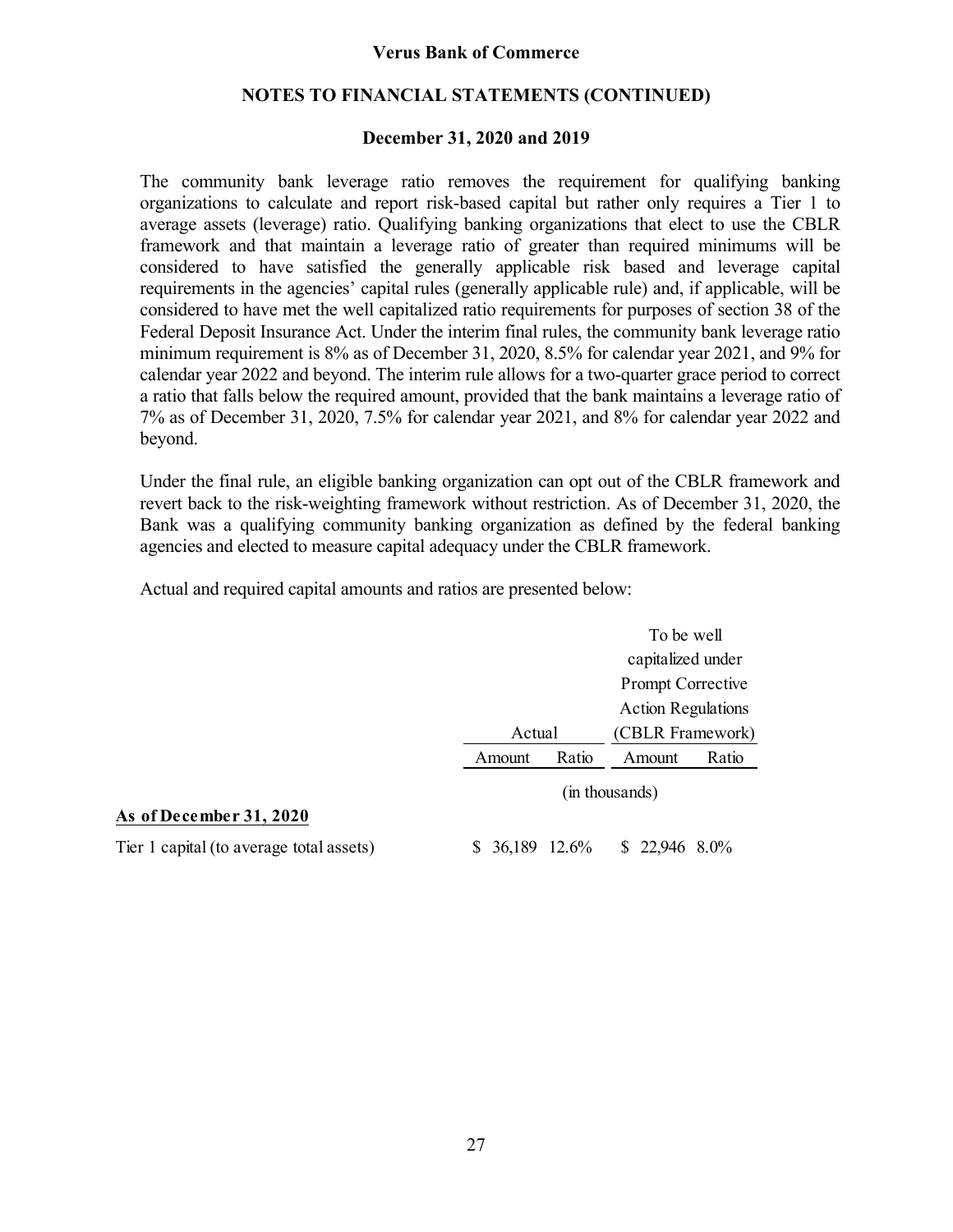### **NOTES TO FINANCIAL STATEMENTS (CONTINUED)**

### **December 31, 2020 and 2019**

The community bank leverage ratio removes the requirement for qualifying banking organizations to calculate and report risk-based capital but rather only requires a Tier 1 to average assets (leverage) ratio. Qualifying banking organizations that elect to use the CBLR framework and that maintain a leverage ratio of greater than required minimums will be considered to have satisfied the generally applicable risk based and leverage capital requirements in the agencies' capital rules (generally applicable rule) and, if applicable, will be considered to have met the well capitalized ratio requirements for purposes of section 38 of the Federal Deposit Insurance Act. Under the interim final rules, the community bank leverage ratio minimum requirement is 8% as of December 31, 2020, 8.5% for calendar year 2021, and 9% for calendar year 2022 and beyond. The interim rule allows for a two-quarter grace period to correct a ratio that falls below the required amount, provided that the bank maintains a leverage ratio of 7% as of December 31, 2020, 7.5% for calendar year 2021, and 8% for calendar year 2022 and beyond.

Under the final rule, an eligible banking organization can opt out of the CBLR framework and revert back to the risk-weighting framework without restriction. As of December 31, 2020, the Bank was a qualifying community banking organization as defined by the federal banking agencies and elected to measure capital adequacy under the CBLR framework.

Actual and required capital amounts and ratios are presented below:

|                                          |                 | To be well                |  |  |
|------------------------------------------|-----------------|---------------------------|--|--|
|                                          |                 | capitalized under         |  |  |
|                                          |                 | Prompt Corrective         |  |  |
|                                          |                 | <b>Action Regulations</b> |  |  |
|                                          | Actual          | (CBLR Framework)          |  |  |
|                                          | Ratio<br>Amount | Ratio<br>Amount           |  |  |
|                                          |                 | (in thousands)            |  |  |
| As of December 31, 2020                  |                 |                           |  |  |
| Tier 1 capital (to average total assets) | $$36,189$ 12.6% | $$22,9468.0\%$            |  |  |
|                                          |                 |                           |  |  |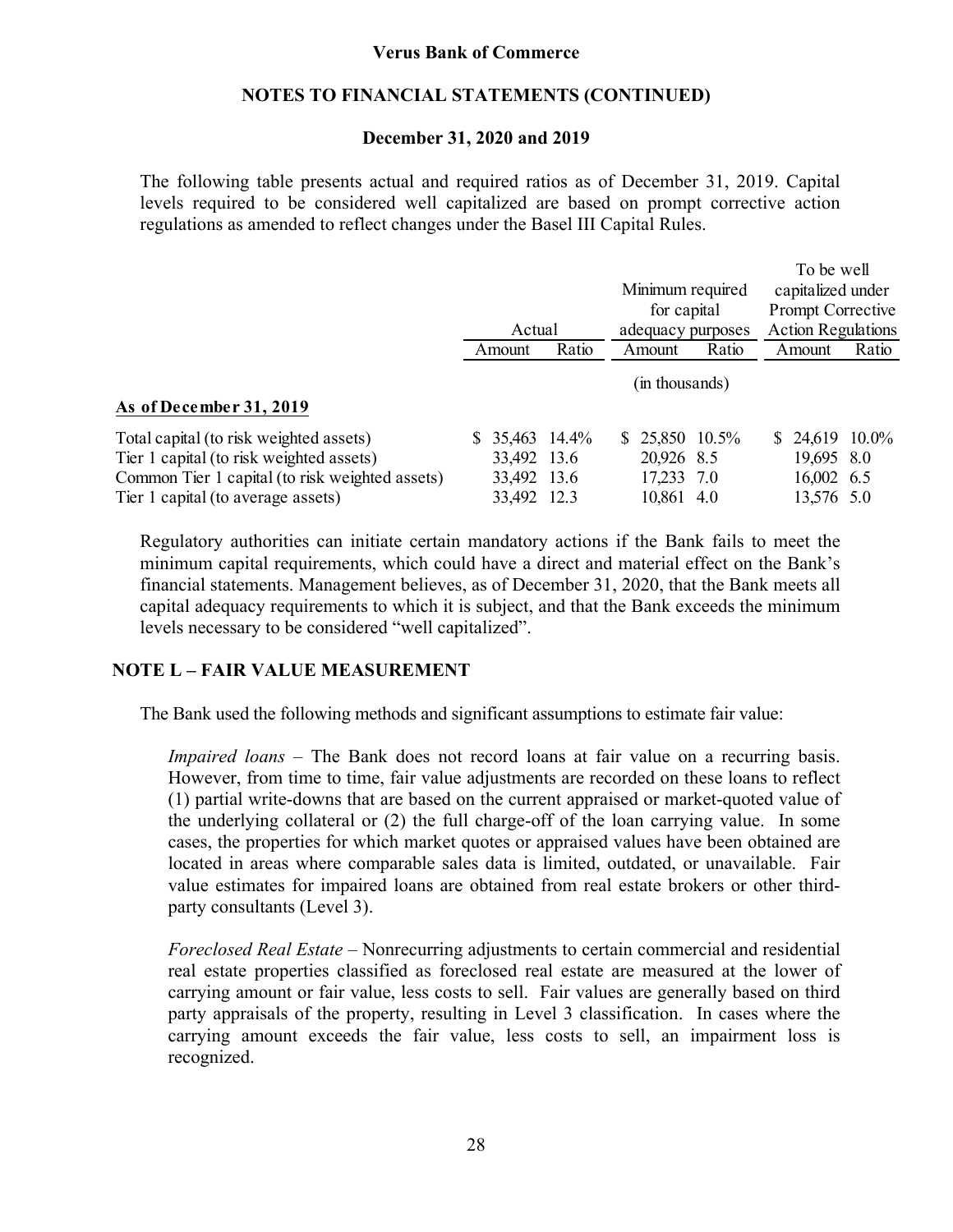### **NOTES TO FINANCIAL STATEMENTS (CONTINUED)**

### **December 31, 2020 and 2019**

The following table presents actual and required ratios as of December 31, 2019. Capital levels required to be considered well capitalized are based on prompt corrective action regulations as amended to reflect changes under the Basel III Capital Rules.

|                                                                                     | Minimum required<br>for capital    |        | To be well<br>capitalized under<br>Prompt Corrective |                   |                               |                           |  |
|-------------------------------------------------------------------------------------|------------------------------------|--------|------------------------------------------------------|-------------------|-------------------------------|---------------------------|--|
|                                                                                     |                                    | Actual |                                                      | adequacy purposes |                               | <b>Action Regulations</b> |  |
|                                                                                     | Amount                             | Ratio  | Amount                                               | Ratio             | Amount                        | Ratio                     |  |
| As of December 31, 2019                                                             |                                    |        | (in thousands)                                       |                   |                               |                           |  |
| Total capital (to risk weighted assets)<br>Tier 1 capital (to risk weighted assets) | 35,463 14.4%<br>SS.<br>33,492 13.6 |        | $$25,850$ 10.5%<br>20,926 8.5                        |                   | $$24,619$ 10.0%<br>19,695 8.0 |                           |  |
| Common Tier 1 capital (to risk weighted assets)                                     | 33,492 13.6                        |        | 17,233 7.0                                           |                   | 16,002 6.5                    |                           |  |
| Tier 1 capital (to average assets)                                                  | 33,492 12.3                        |        | 10,861 4.0                                           |                   | 13,576 5.0                    |                           |  |

Regulatory authorities can initiate certain mandatory actions if the Bank fails to meet the minimum capital requirements, which could have a direct and material effect on the Bank's financial statements. Management believes, as of December 31, 2020, that the Bank meets all capital adequacy requirements to which it is subject, and that the Bank exceeds the minimum levels necessary to be considered "well capitalized".

### **NOTE L – FAIR VALUE MEASUREMENT**

The Bank used the following methods and significant assumptions to estimate fair value:

*Impaired loans* – The Bank does not record loans at fair value on a recurring basis. However, from time to time, fair value adjustments are recorded on these loans to reflect (1) partial write-downs that are based on the current appraised or market-quoted value of the underlying collateral or (2) the full charge-off of the loan carrying value. In some cases, the properties for which market quotes or appraised values have been obtained are located in areas where comparable sales data is limited, outdated, or unavailable. Fair value estimates for impaired loans are obtained from real estate brokers or other thirdparty consultants (Level 3).

*Foreclosed Real Estate –* Nonrecurring adjustments to certain commercial and residential real estate properties classified as foreclosed real estate are measured at the lower of carrying amount or fair value, less costs to sell. Fair values are generally based on third party appraisals of the property, resulting in Level 3 classification. In cases where the carrying amount exceeds the fair value, less costs to sell, an impairment loss is recognized.